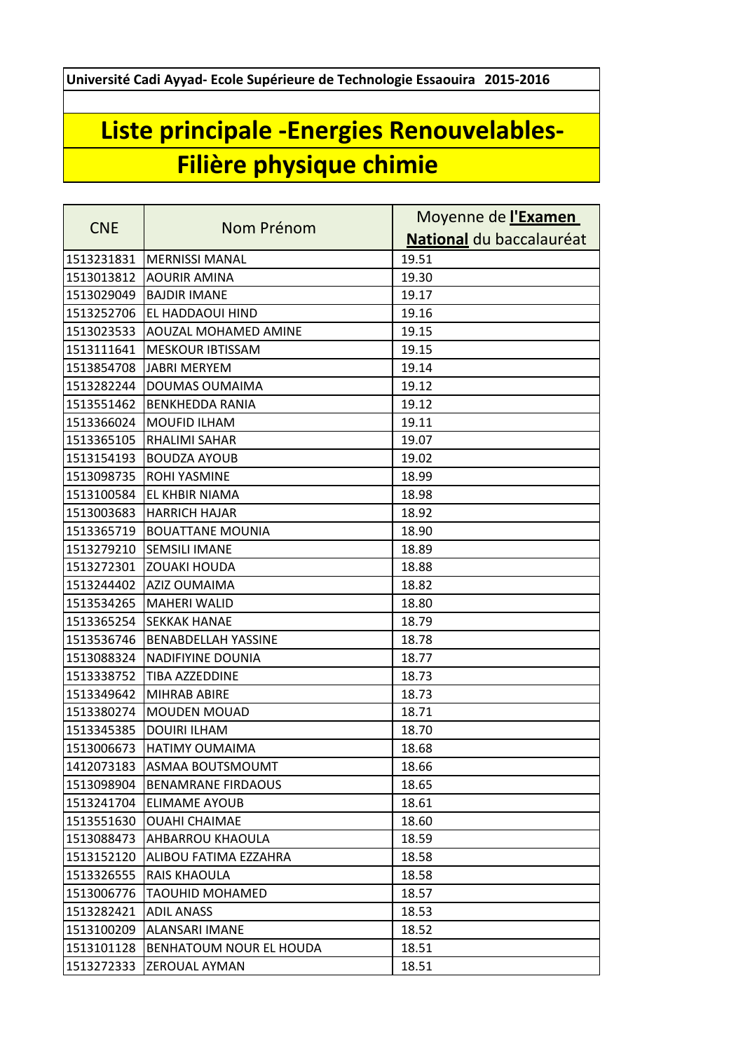**Université Cadi Ayyad- Ecole Supérieure de Technologie Essaouira 2015-2016**

## **Liste principale -Energies Renouvelables-Filière physique chimie**

| <b>CNE</b> | Nom Prénom                 | Moyenne de l'Examen      |
|------------|----------------------------|--------------------------|
|            |                            | National du baccalauréat |
| 1513231831 | <b>MERNISSI MANAL</b>      | 19.51                    |
| 1513013812 | <b>AOURIR AMINA</b>        | 19.30                    |
| 1513029049 | <b>BAJDIR IMANE</b>        | 19.17                    |
| 1513252706 | EL HADDAOUI HIND           | 19.16                    |
| 1513023533 | AOUZAL MOHAMED AMINE       | 19.15                    |
| 1513111641 | <b>MESKOUR IBTISSAM</b>    | 19.15                    |
| 1513854708 | JABRI MERYEM               | 19.14                    |
| 1513282244 | DOUMAS OUMAIMA             | 19.12                    |
| 1513551462 | <b>BENKHEDDA RANIA</b>     | 19.12                    |
| 1513366024 | <b>MOUFID ILHAM</b>        | 19.11                    |
| 1513365105 | <b>RHALIMI SAHAR</b>       | 19.07                    |
| 1513154193 | <b>BOUDZA AYOUB</b>        | 19.02                    |
| 1513098735 | ROHI YASMINE               | 18.99                    |
| 1513100584 | EL KHBIR NIAMA             | 18.98                    |
| 1513003683 | <b>HARRICH HAJAR</b>       | 18.92                    |
| 1513365719 | <b>BOUATTANE MOUNIA</b>    | 18.90                    |
| 1513279210 | <b>SEMSILI IMANE</b>       | 18.89                    |
| 1513272301 | <b>ZOUAKI HOUDA</b>        | 18.88                    |
| 1513244402 | <b>AZIZ OUMAIMA</b>        | 18.82                    |
| 1513534265 | <b>MAHERI WALID</b>        | 18.80                    |
| 1513365254 | <b>SEKKAK HANAE</b>        | 18.79                    |
| 1513536746 | <b>BENABDELLAH YASSINE</b> | 18.78                    |
| 1513088324 | <b>NADIFIYINE DOUNIA</b>   | 18.77                    |
| 1513338752 | TIBA AZZEDDINE             | 18.73                    |
| 1513349642 | <b>MIHRAB ABIRE</b>        | 18.73                    |
| 1513380274 | <b>MOUDEN MOUAD</b>        | 18.71                    |
| 1513345385 | <b>DOUIRI ILHAM</b>        | 18.70                    |
| 1513006673 | HATIMY OUMAIMA             | 18.68                    |
| 1412073183 | ASMAA BOUTSMOUMT           | 18.66                    |
| 1513098904 | <b>BENAMRANE FIRDAOUS</b>  | 18.65                    |
| 1513241704 | <b>ELIMAME AYOUB</b>       | 18.61                    |
| 1513551630 | <b>OUAHI CHAIMAE</b>       | 18.60                    |
| 1513088473 | AHBARROU KHAOULA           | 18.59                    |
| 1513152120 | ALIBOU FATIMA EZZAHRA      | 18.58                    |
| 1513326555 | RAIS KHAOULA               | 18.58                    |
| 1513006776 | <b>TAOUHID MOHAMED</b>     | 18.57                    |
| 1513282421 | <b>ADIL ANASS</b>          | 18.53                    |
| 1513100209 | <b>ALANSARI IMANE</b>      | 18.52                    |
| 1513101128 | BENHATOUM NOUR EL HOUDA    | 18.51                    |
| 1513272333 | ZEROUAL AYMAN              | 18.51                    |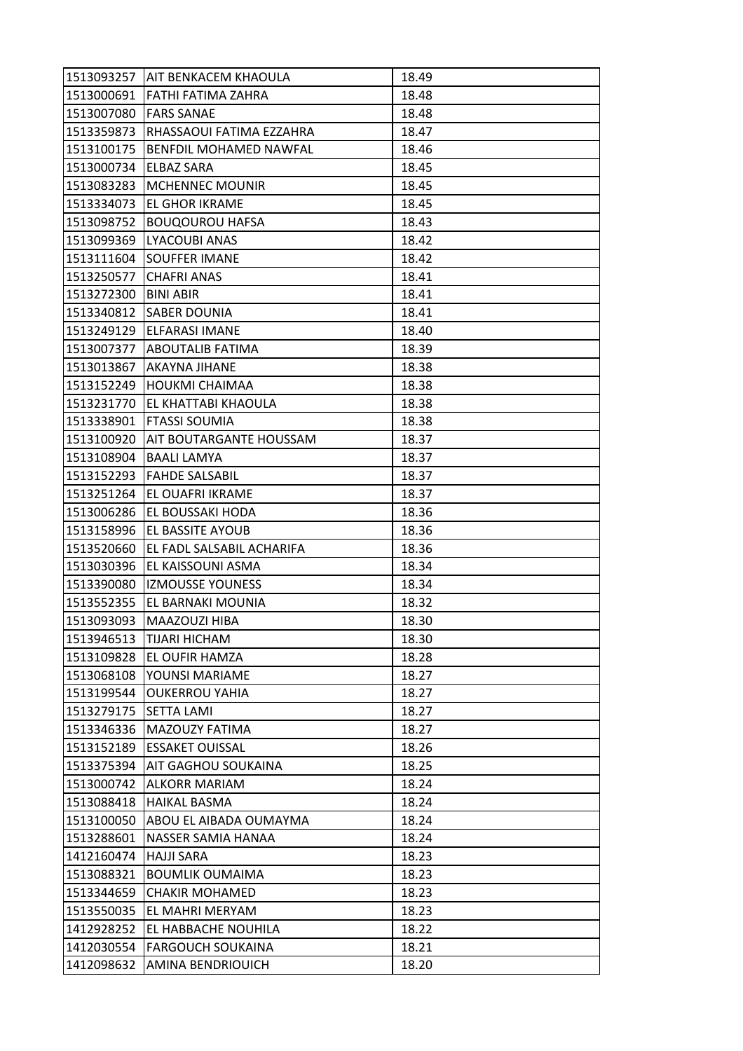|            | 1513093257 AIT BENKACEM KHAOULA      | 18.49 |
|------------|--------------------------------------|-------|
|            | 1513000691 FATHI FATIMA ZAHRA        | 18.48 |
| 1513007080 | <b>FARS SANAE</b>                    | 18.48 |
| 1513359873 | RHASSAOUI FATIMA EZZAHRA             | 18.47 |
| 1513100175 | BENFDIL MOHAMED NAWFAL               | 18.46 |
| 1513000734 | <b>ELBAZ SARA</b>                    | 18.45 |
| 1513083283 | <b>MCHENNEC MOUNIR</b>               | 18.45 |
| 1513334073 | EL GHOR IKRAME                       | 18.45 |
| 1513098752 | <b>BOUQOUROU HAFSA</b>               | 18.43 |
| 1513099369 | LYACOUBI ANAS                        | 18.42 |
| 1513111604 | <b>SOUFFER IMANE</b>                 | 18.42 |
| 1513250577 | <b>CHAFRI ANAS</b>                   | 18.41 |
| 1513272300 | <b>BINI ABIR</b>                     | 18.41 |
| 1513340812 | <b>SABER DOUNIA</b>                  | 18.41 |
| 1513249129 | <b>ELFARASI IMANE</b>                | 18.40 |
|            | 1513007377 ABOUTALIB FATIMA          | 18.39 |
| 1513013867 | <b>AKAYNA JIHANE</b>                 | 18.38 |
| 1513152249 | <b>HOUKMI CHAIMAA</b>                | 18.38 |
| 1513231770 | <b>EL KHATTABI KHAOULA</b>           | 18.38 |
|            | 1513338901  FTASSI SOUMIA            | 18.38 |
|            | 1513100920   AIT BOUTARGANTE HOUSSAM | 18.37 |
| 1513108904 | <b>BAALI LAMYA</b>                   | 18.37 |
| 1513152293 | <b>FAHDE SALSABIL</b>                | 18.37 |
| 1513251264 | <b>EL OUAFRI IKRAME</b>              | 18.37 |
| 1513006286 | <b>IEL BOUSSAKI HODA</b>             | 18.36 |
| 1513158996 | <b>EL BASSITE AYOUB</b>              | 18.36 |
| 1513520660 | EL FADL SALSABIL ACHARIFA            | 18.36 |
| 1513030396 | <b>EL KAISSOUNI ASMA</b>             | 18.34 |
| 1513390080 | <b>IZMOUSSE YOUNESS</b>              | 18.34 |
| 1513552355 | <b>EL BARNAKI MOUNIA</b>             | 18.32 |
| 1513093093 | <b>MAAZOUZI HIBA</b>                 | 18.30 |
| 1513946513 | <b>TIJARI HICHAM</b>                 | 18.30 |
| 1513109828 | <b>EL OUFIR HAMZA</b>                | 18.28 |
| 1513068108 | YOUNSI MARIAME                       | 18.27 |
| 1513199544 | <b>OUKERROU YAHIA</b>                | 18.27 |
| 1513279175 | <b>SETTA LAMI</b>                    | 18.27 |
| 1513346336 | MAZOUZY FATIMA                       | 18.27 |
| 1513152189 | <b>ESSAKET OUISSAL</b>               | 18.26 |
| 1513375394 | AIT GAGHOU SOUKAINA                  | 18.25 |
| 1513000742 | <b>ALKORR MARIAM</b>                 | 18.24 |
| 1513088418 | <b>HAIKAL BASMA</b>                  | 18.24 |
| 1513100050 | ABOU EL AIBADA OUMAYMA               | 18.24 |
| 1513288601 | NASSER SAMIA HANAA                   | 18.24 |
| 1412160474 | <b>HAJJI SARA</b>                    | 18.23 |
| 1513088321 | <b>BOUMLIK OUMAIMA</b>               | 18.23 |
| 1513344659 | <b>CHAKIR MOHAMED</b>                | 18.23 |
| 1513550035 | <b>EL MAHRI MERYAM</b>               | 18.23 |
| 1412928252 | EL HABBACHE NOUHILA                  | 18.22 |
| 1412030554 | <b>FARGOUCH SOUKAINA</b>             | 18.21 |
| 1412098632 | AMINA BENDRIOUICH                    | 18.20 |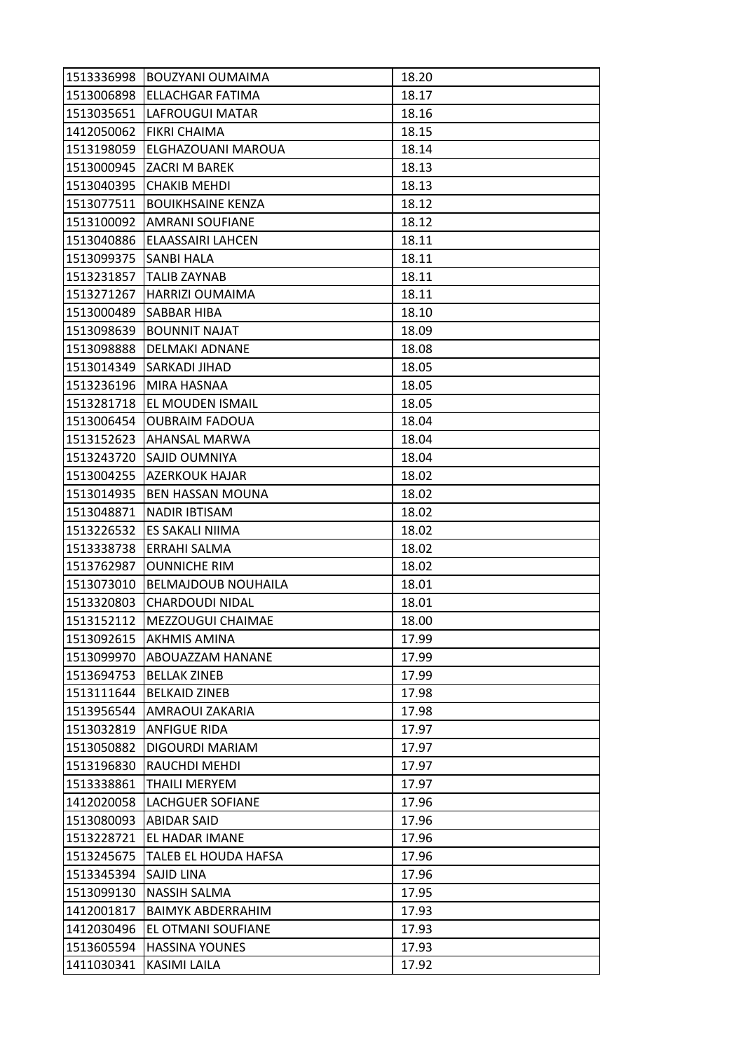| 1513336998 | BOUZYANI OUMAIMA           | 18.20 |
|------------|----------------------------|-------|
| 1513006898 | <b>ELLACHGAR FATIMA</b>    | 18.17 |
| 1513035651 | LAFROUGUI MATAR            | 18.16 |
| 1412050062 | <b>FIKRI CHAIMA</b>        | 18.15 |
| 1513198059 | ELGHAZOUANI MAROUA         | 18.14 |
|            | 1513000945  ZACRI M BAREK  | 18.13 |
|            | 1513040395 CHAKIB MEHDI    | 18.13 |
| 1513077511 | <b>BOUIKHSAINE KENZA</b>   | 18.12 |
| 1513100092 | <b>AMRANI SOUFIANE</b>     | 18.12 |
| 1513040886 | ELAASSAIRI LAHCEN          | 18.11 |
| 1513099375 | <b>SANBI HALA</b>          | 18.11 |
| 1513231857 | <b>TALIB ZAYNAB</b>        | 18.11 |
| 1513271267 | HARRIZI OUMAIMA            | 18.11 |
| 1513000489 | <b>SABBAR HIBA</b>         | 18.10 |
| 1513098639 | <b>BOUNNIT NAJAT</b>       | 18.09 |
| 1513098888 | <b>DELMAKI ADNANE</b>      | 18.08 |
| 1513014349 | <b>SARKADI JIHAD</b>       | 18.05 |
| 1513236196 | MIRA HASNAA                | 18.05 |
| 1513281718 | <b>EL MOUDEN ISMAIL</b>    | 18.05 |
| 1513006454 | <b>OUBRAIM FADOUA</b>      | 18.04 |
|            | 1513152623   AHANSAL MARWA | 18.04 |
| 1513243720 | SAJID OUMNIYA              | 18.04 |
| 1513004255 | <b>AZERKOUK HAJAR</b>      | 18.02 |
| 1513014935 | <b>BEN HASSAN MOUNA</b>    | 18.02 |
| 1513048871 | <b>NADIR IBTISAM</b>       | 18.02 |
| 1513226532 | <b>ES SAKALI NIIMA</b>     | 18.02 |
| 1513338738 | <b>ERRAHI SALMA</b>        | 18.02 |
| 1513762987 | <b>OUNNICHE RIM</b>        | 18.02 |
| 1513073010 | <b>BELMAJDOUB NOUHAILA</b> | 18.01 |
| 1513320803 | <b>CHARDOUDI NIDAL</b>     | 18.01 |
| 1513152112 | MEZZOUGUI CHAIMAE          | 18.00 |
| 1513092615 | <b>AKHMIS AMINA</b>        | 17.99 |
| 1513099970 | <b>ABOUAZZAM HANANE</b>    | 17.99 |
| 1513694753 | <b>BELLAK ZINEB</b>        | 17.99 |
| 1513111644 | <b>BELKAID ZINEB</b>       | 17.98 |
| 1513956544 | <b>AMRAOUI ZAKARIA</b>     | 17.98 |
| 1513032819 | <b>ANFIGUE RIDA</b>        | 17.97 |
| 1513050882 | DIGOURDI MARIAM            | 17.97 |
| 1513196830 | RAUCHDI MEHDI              | 17.97 |
| 1513338861 | <b>THAILI MERYEM</b>       | 17.97 |
| 1412020058 | <b>LACHGUER SOFIANE</b>    | 17.96 |
| 1513080093 | <b>ABIDAR SAID</b>         | 17.96 |
| 1513228721 | EL HADAR IMANE             | 17.96 |
| 1513245675 | TALEB EL HOUDA HAFSA       | 17.96 |
| 1513345394 | <b>SAJID LINA</b>          | 17.96 |
| 1513099130 | <b>NASSIH SALMA</b>        | 17.95 |
| 1412001817 | <b>BAIMYK ABDERRAHIM</b>   | 17.93 |
| 1412030496 | EL OTMANI SOUFIANE         | 17.93 |
| 1513605594 | <b>HASSINA YOUNES</b>      | 17.93 |
| 1411030341 | KASIMI LAILA               | 17.92 |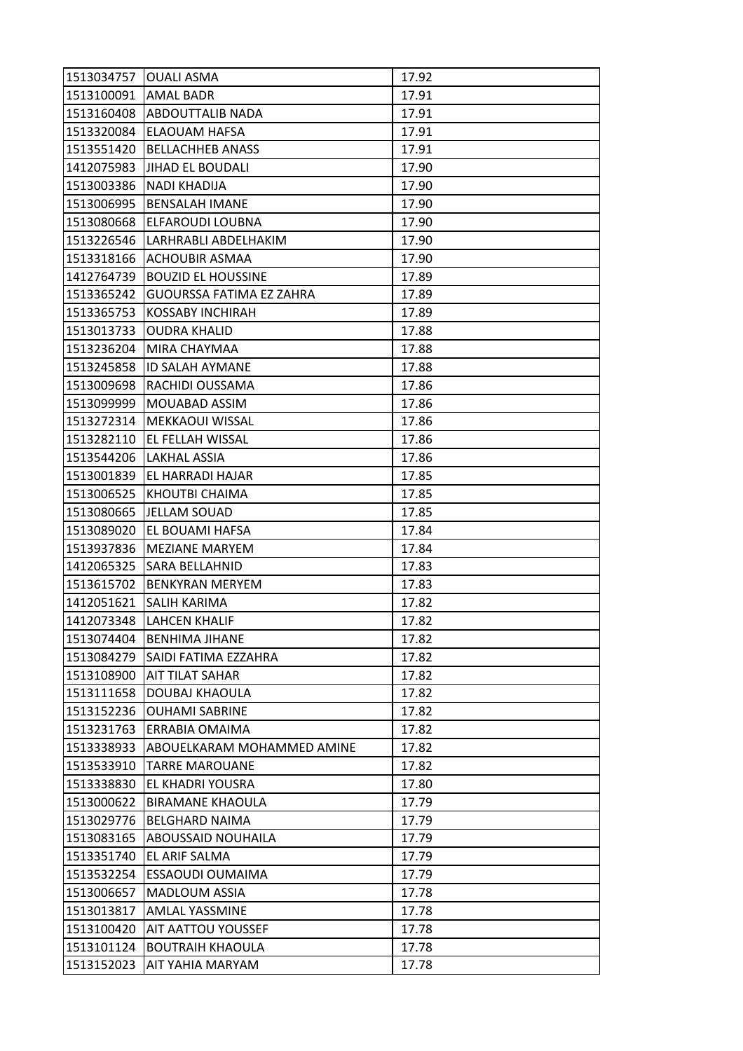| 1513034757           | <b>OUALI ASMA</b>               | 17.92 |
|----------------------|---------------------------------|-------|
| 1513100091 AMAL BADR |                                 | 17.91 |
| 1513160408           | <b>ABDOUTTALIB NADA</b>         | 17.91 |
| 1513320084           | <b>ELAOUAM HAFSA</b>            | 17.91 |
| 1513551420           | <b>BELLACHHEB ANASS</b>         | 17.91 |
|                      | 1412075983 JIHAD EL BOUDALI     | 17.90 |
| 1513003386           | NADI KHADIJA                    | 17.90 |
| 1513006995           | <b>BENSALAH IMANE</b>           | 17.90 |
| 1513080668           | <b>ELFAROUDI LOUBNA</b>         | 17.90 |
| 1513226546           | LARHRABLI ABDELHAKIM            | 17.90 |
| 1513318166           | <b>ACHOUBIR ASMAA</b>           | 17.90 |
| 1412764739           | BOUZID EL HOUSSINE              | 17.89 |
| 1513365242           | <b>GUOURSSA FATIMA EZ ZAHRA</b> | 17.89 |
| 1513365753           | <b>KOSSABY INCHIRAH</b>         | 17.89 |
| 1513013733           | <b>OUDRA KHALID</b>             | 17.88 |
| 1513236204           | MIRA CHAYMAA                    | 17.88 |
| 1513245858           | <b>ID SALAH AYMANE</b>          | 17.88 |
| 1513009698           | RACHIDI OUSSAMA                 | 17.86 |
| 1513099999           | MOUABAD ASSIM                   | 17.86 |
| 1513272314           | <b>IMEKKAOUI WISSAL</b>         | 17.86 |
| 1513282110           | <b>EL FELLAH WISSAL</b>         | 17.86 |
| 1513544206           | LAKHAL ASSIA                    | 17.86 |
| 1513001839           | <b>EL HARRADI HAJAR</b>         | 17.85 |
| 1513006525           | KHOUTBI CHAIMA                  | 17.85 |
| 1513080665           | JELLAM SOUAD                    | 17.85 |
| 1513089020           | <b>EL BOUAMI HAFSA</b>          | 17.84 |
| 1513937836           | <b>MEZIANE MARYEM</b>           | 17.84 |
| 1412065325           | <b>SARA BELLAHNID</b>           | 17.83 |
| 1513615702           | <b>BENKYRAN MERYEM</b>          | 17.83 |
| 1412051621           | <b>SALIH KARIMA</b>             | 17.82 |
| 1412073348           | <b>LAHCEN KHALIF</b>            | 17.82 |
| 1513074404           | <b>BENHIMA JIHANE</b>           | 17.82 |
| 1513084279           | <b>SAIDI FATIMA EZZAHRA</b>     | 17.82 |
| 1513108900           | <b>AIT TILAT SAHAR</b>          | 17.82 |
| 1513111658           | <b>DOUBAJ KHAOULA</b>           | 17.82 |
| 1513152236           | <b>OUHAMI SABRINE</b>           | 17.82 |
| 1513231763           | <b>ERRABIA OMAIMA</b>           | 17.82 |
| 1513338933           | ABOUELKARAM MOHAMMED AMINE      | 17.82 |
| 1513533910           | <b>TARRE MAROUANE</b>           | 17.82 |
| 1513338830           | <b>EL KHADRI YOUSRA</b>         | 17.80 |
| 1513000622           | <b>BIRAMANE KHAOULA</b>         | 17.79 |
| 1513029776           | <b>BELGHARD NAIMA</b>           | 17.79 |
| 1513083165           | <b>ABOUSSAID NOUHAILA</b>       | 17.79 |
| 1513351740           | EL ARIF SALMA                   | 17.79 |
| 1513532254           | <b>ESSAOUDI OUMAIMA</b>         | 17.79 |
| 1513006657           | <b>MADLOUM ASSIA</b>            | 17.78 |
| 1513013817           | <b>AMLAL YASSMINE</b>           | 17.78 |
| 1513100420           | <b>AIT AATTOU YOUSSEF</b>       | 17.78 |
| 1513101124           | <b>BOUTRAIH KHAOULA</b>         | 17.78 |
| 1513152023           | AIT YAHIA MARYAM                | 17.78 |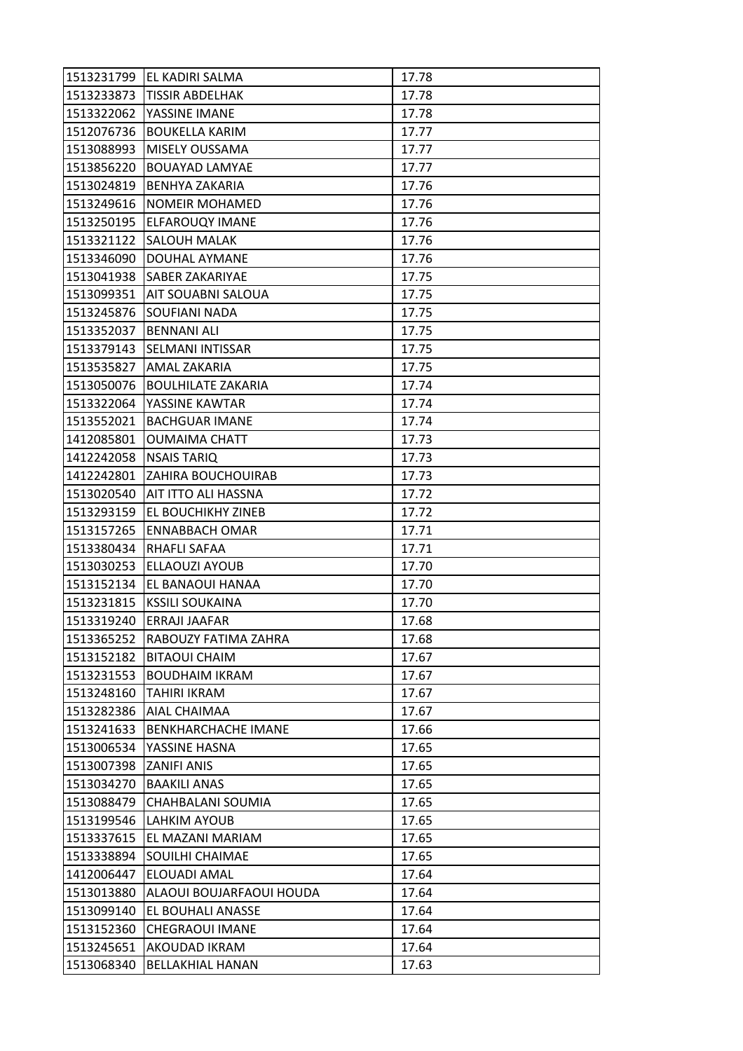|            | 1513231799 EL KADIRI SALMA  | 17.78 |
|------------|-----------------------------|-------|
| 1513233873 | <b>TISSIR ABDELHAK</b>      | 17.78 |
| 1513322062 | YASSINE IMANE               | 17.78 |
| 1512076736 | <b>BOUKELLA KARIM</b>       | 17.77 |
| 1513088993 | <b>MISELY OUSSAMA</b>       | 17.77 |
| 1513856220 | <b>BOUAYAD LAMYAE</b>       | 17.77 |
| 1513024819 | <b>BENHYA ZAKARIA</b>       | 17.76 |
| 1513249616 | <b>NOMEIR MOHAMED</b>       | 17.76 |
| 1513250195 | <b>ELFAROUQY IMANE</b>      | 17.76 |
| 1513321122 | <b>SALOUH MALAK</b>         | 17.76 |
| 1513346090 | <b>DOUHAL AYMANE</b>        | 17.76 |
| 1513041938 | <b>SABER ZAKARIYAE</b>      | 17.75 |
| 1513099351 | AIT SOUABNI SALOUA          | 17.75 |
| 1513245876 | <b>SOUFIANI NADA</b>        | 17.75 |
| 1513352037 | <b>BENNANI ALI</b>          | 17.75 |
| 1513379143 | <b>SELMANI INTISSAR</b>     | 17.75 |
| 1513535827 | <b>AMAL ZAKARIA</b>         | 17.75 |
| 1513050076 | <b>BOULHILATE ZAKARIA</b>   | 17.74 |
| 1513322064 | YASSINE KAWTAR              | 17.74 |
| 1513552021 | <b>BACHGUAR IMANE</b>       | 17.74 |
| 1412085801 | <b>OUMAIMA CHATT</b>        | 17.73 |
| 1412242058 | <b>NSAIS TARIQ</b>          | 17.73 |
| 1412242801 | <b>ZAHIRA BOUCHOUIRAB</b>   | 17.73 |
| 1513020540 | <b>AIT ITTO ALI HASSNA</b>  | 17.72 |
| 1513293159 | <b>EL BOUCHIKHY ZINEB</b>   | 17.72 |
| 1513157265 | <b>ENNABBACH OMAR</b>       | 17.71 |
| 1513380434 | <b>RHAFLI SAFAA</b>         | 17.71 |
| 1513030253 | <b>ELLAOUZI AYOUB</b>       | 17.70 |
| 1513152134 | EL BANAOUI HANAA            | 17.70 |
| 1513231815 | <b>KSSILI SOUKAINA</b>      | 17.70 |
| 1513319240 | <b>LERRAJI JAAFAR</b>       | 17.68 |
| 1513365252 | <b>RABOUZY FATIMA ZAHRA</b> | 17.68 |
| 1513152182 | <b>BITAOUI CHAIM</b>        | 17.67 |
| 1513231553 | <b>BOUDHAIM IKRAM</b>       | 17.67 |
| 1513248160 | <b>TAHIRI IKRAM</b>         | 17.67 |
| 1513282386 | AIAL CHAIMAA                | 17.67 |
| 1513241633 | BENKHARCHACHE IMANE         | 17.66 |
| 1513006534 | YASSINE HASNA               | 17.65 |
| 1513007398 | <b>ZANIFI ANIS</b>          | 17.65 |
| 1513034270 | <b>BAAKILI ANAS</b>         | 17.65 |
| 1513088479 | CHAHBALANI SOUMIA           | 17.65 |
| 1513199546 | LAHKIM AYOUB                | 17.65 |
| 1513337615 | EL MAZANI MARIAM            | 17.65 |
| 1513338894 | <b>SOUILHI CHAIMAE</b>      | 17.65 |
| 1412006447 | ELOUADI AMAL                | 17.64 |
| 1513013880 | ALAOUI BOUJARFAOUI HOUDA    | 17.64 |
| 1513099140 | <b>EL BOUHALI ANASSE</b>    | 17.64 |
| 1513152360 | <b>CHEGRAOUI IMANE</b>      | 17.64 |
| 1513245651 | AKOUDAD IKRAM               | 17.64 |
| 1513068340 | <b>BELLAKHIAL HANAN</b>     | 17.63 |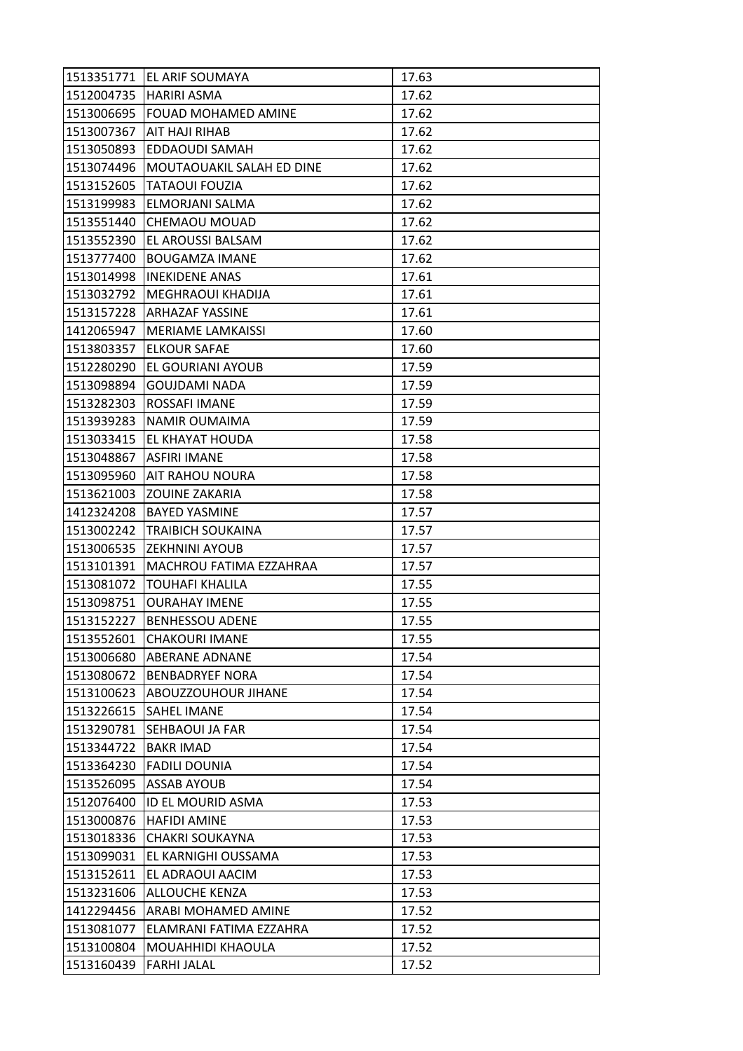|            | 1513351771 EL ARIF SOUMAYA       | 17.63 |
|------------|----------------------------------|-------|
|            | 1512004735   HARIRI ASMA         | 17.62 |
|            | 1513006695   FOUAD MOHAMED AMINE | 17.62 |
| 1513007367 | <b>AIT HAJI RIHAB</b>            | 17.62 |
| 1513050893 | EDDAOUDI SAMAH                   | 17.62 |
| 1513074496 | MOUTAOUAKIL SALAH ED DINE        | 17.62 |
| 1513152605 | <b>TATAOUI FOUZIA</b>            | 17.62 |
| 1513199983 | ELMORJANI SALMA                  | 17.62 |
| 1513551440 | <b>CHEMAOU MOUAD</b>             | 17.62 |
| 1513552390 | <b>EL AROUSSI BALSAM</b>         | 17.62 |
| 1513777400 | <b>BOUGAMZA IMANE</b>            | 17.62 |
| 1513014998 | <b>INEKIDENE ANAS</b>            | 17.61 |
| 1513032792 | <b>MEGHRAOUI KHADIJA</b>         | 17.61 |
| 1513157228 | <b>ARHAZAF YASSINE</b>           | 17.61 |
| 1412065947 | <b>MERIAME LAMKAISSI</b>         | 17.60 |
|            | 1513803357 ELKOUR SAFAE          | 17.60 |
| 1512280290 | <b>EL GOURIANI AYOUB</b>         | 17.59 |
| 1513098894 | <b>GOUJDAMI NADA</b>             | 17.59 |
| 1513282303 | <b>ROSSAFI IMANE</b>             | 17.59 |
| 1513939283 | <b>NAMIR OUMAIMA</b>             | 17.59 |
|            | 1513033415 EL KHAYAT HOUDA       | 17.58 |
| 1513048867 | ASFIRI IMANE                     | 17.58 |
| 1513095960 | <b>AIT RAHOU NOURA</b>           | 17.58 |
| 1513621003 | <b>ZOUINE ZAKARIA</b>            | 17.58 |
|            | 1412324208 BAYED YASMINE         | 17.57 |
| 1513002242 | <b>TRAIBICH SOUKAINA</b>         | 17.57 |
| 1513006535 | <b>ZEKHNINI AYOUB</b>            | 17.57 |
| 1513101391 | MACHROU FATIMA EZZAHRAA          | 17.57 |
| 1513081072 | <b>TOUHAFI KHALILA</b>           | 17.55 |
| 1513098751 | <b>OURAHAY IMENE</b>             | 17.55 |
| 1513152227 | <b>BENHESSOU ADENE</b>           | 17.55 |
| 1513552601 | <b>CHAKOURI IMANE</b>            | 17.55 |
| 1513006680 | <b>ABERANE ADNANE</b>            | 17.54 |
| 1513080672 | <b>BENBADRYEF NORA</b>           | 17.54 |
| 1513100623 | ABOUZZOUHOUR JIHANE              | 17.54 |
| 1513226615 | <b>SAHEL IMANE</b>               | 17.54 |
| 1513290781 | <b>SEHBAOUI JA FAR</b>           | 17.54 |
| 1513344722 | <b>BAKR IMAD</b>                 | 17.54 |
| 1513364230 | <b>FADILI DOUNIA</b>             | 17.54 |
| 1513526095 | <b>ASSAB AYOUB</b>               | 17.54 |
| 1512076400 | <b>ID EL MOURID ASMA</b>         | 17.53 |
| 1513000876 | <b>HAFIDI AMINE</b>              | 17.53 |
| 1513018336 | <b>CHAKRI SOUKAYNA</b>           | 17.53 |
| 1513099031 | EL KARNIGHI OUSSAMA              | 17.53 |
| 1513152611 | EL ADRAOUI AACIM                 | 17.53 |
| 1513231606 | <b>ALLOUCHE KENZA</b>            | 17.53 |
| 1412294456 | <b>ARABI MOHAMED AMINE</b>       | 17.52 |
| 1513081077 | ELAMRANI FATIMA EZZAHRA          | 17.52 |
| 1513100804 | MOUAHHIDI KHAOULA                | 17.52 |
| 1513160439 | <b>FARHI JALAL</b>               | 17.52 |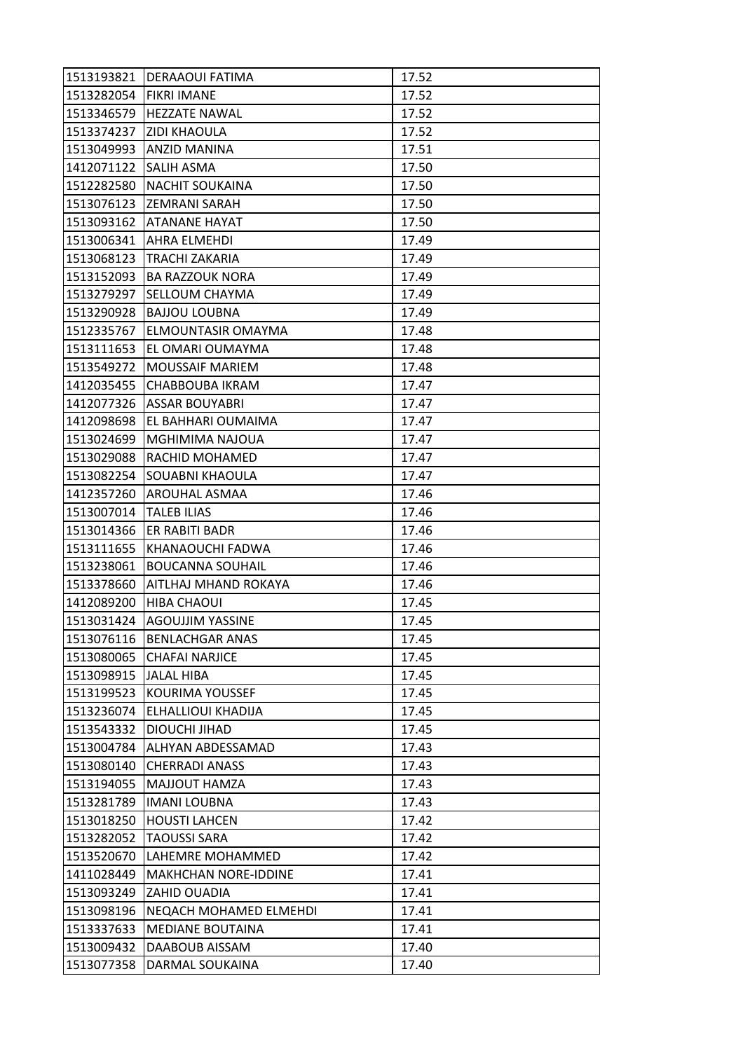|                       | 1513193821 DERAAOUI FATIMA  | 17.52 |
|-----------------------|-----------------------------|-------|
| 1513282054            | <b>FIKRI IMANE</b>          | 17.52 |
| 1513346579            | <b>HEZZATE NAWAL</b>        | 17.52 |
| 1513374237            | <b>ZIDI KHAOULA</b>         | 17.52 |
| 1513049993            | ANZID MANINA                | 17.51 |
| 1412071122 SALIH ASMA |                             | 17.50 |
| 1512282580            | <b>NACHIT SOUKAINA</b>      | 17.50 |
| 1513076123            | <b>ZEMRANI SARAH</b>        | 17.50 |
| 1513093162            | <b>ATANANE HAYAT</b>        | 17.50 |
| 1513006341            | <b>AHRA ELMEHDI</b>         | 17.49 |
| 1513068123            | <b>TRACHI ZAKARIA</b>       | 17.49 |
| 1513152093            | BA RAZZOUK NORA             | 17.49 |
| 1513279297            | <b>SELLOUM CHAYMA</b>       | 17.49 |
| 1513290928            | <b>BAJJOU LOUBNA</b>        | 17.49 |
| 1512335767            | <b>ELMOUNTASIR OMAYMA</b>   | 17.48 |
| 1513111653            | EL OMARI OUMAYMA            | 17.48 |
| 1513549272            | <b>MOUSSAIF MARIEM</b>      | 17.48 |
| 1412035455            | <b>CHABBOUBA IKRAM</b>      | 17.47 |
| 1412077326            | <b>ASSAR BOUYABRI</b>       | 17.47 |
| 1412098698            | EL BAHHARI OUMAIMA          | 17.47 |
| 1513024699            | MGHIMIMA NAJOUA             | 17.47 |
| 1513029088            | <b>RACHID MOHAMED</b>       | 17.47 |
| 1513082254            | <b>SOUABNI KHAOULA</b>      | 17.47 |
| 1412357260            | <b>AROUHAL ASMAA</b>        | 17.46 |
| 1513007014            | <b>TALEB ILIAS</b>          | 17.46 |
| 1513014366            | <b>ER RABITI BADR</b>       | 17.46 |
| 1513111655            | KHANAOUCHI FADWA            | 17.46 |
| 1513238061            | <b>BOUCANNA SOUHAIL</b>     | 17.46 |
| 1513378660            | AITLHAJ MHAND ROKAYA        | 17.46 |
| 1412089200            | <b>HIBA CHAOUI</b>          | 17.45 |
| 1513031424            | <b>AGOUJJIM YASSINE</b>     | 17.45 |
| 1513076116            | <b>BENLACHGAR ANAS</b>      | 17.45 |
| 1513080065            | <b>CHAFAI NARJICE</b>       | 17.45 |
| 1513098915            | <b>JALAL HIBA</b>           | 17.45 |
| 1513199523            | <b>KOURIMA YOUSSEF</b>      | 17.45 |
| 1513236074            | ELHALLIOUI KHADIJA          | 17.45 |
| 1513543332            | <b>DIOUCHI JIHAD</b>        | 17.45 |
| 1513004784            | ALHYAN ABDESSAMAD           | 17.43 |
| 1513080140            | <b>CHERRADI ANASS</b>       | 17.43 |
| 1513194055            | MAJJOUT HAMZA               | 17.43 |
| 1513281789            | <b>IMANI LOUBNA</b>         | 17.43 |
| 1513018250            | <b>HOUSTI LAHCEN</b>        | 17.42 |
| 1513282052            | <b>TAOUSSI SARA</b>         | 17.42 |
| 1513520670            | LAHEMRE MOHAMMED            | 17.42 |
| 1411028449            | <b>MAKHCHAN NORE-IDDINE</b> | 17.41 |
| 1513093249            | <b>ZAHID OUADIA</b>         | 17.41 |
| 1513098196            | NEQACH MOHAMED ELMEHDI      | 17.41 |
| 1513337633            | <b>MEDIANE BOUTAINA</b>     | 17.41 |
| 1513009432            | DAABOUB AISSAM              | 17.40 |
| 1513077358            | DARMAL SOUKAINA             | 17.40 |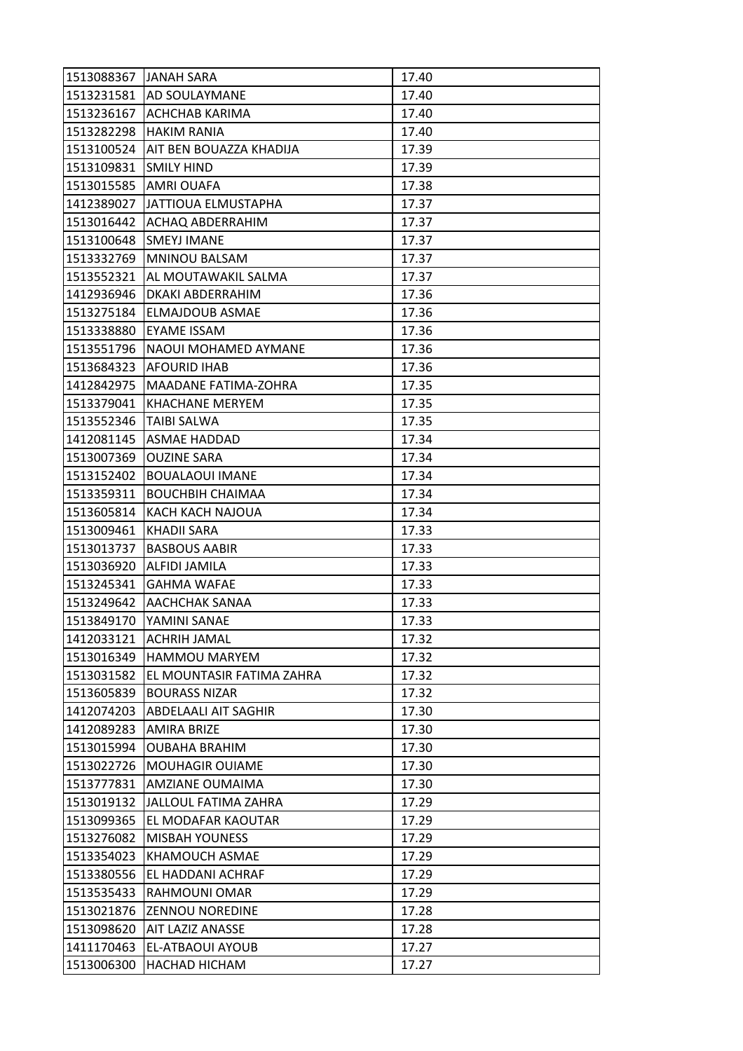| 1513088367 JANAH SARA |                                 | 17.40 |
|-----------------------|---------------------------------|-------|
|                       | 1513231581 AD SOULAYMANE        | 17.40 |
| 1513236167            | <b>ACHCHAB KARIMA</b>           | 17.40 |
| 1513282298            | <b>HAKIM RANIA</b>              | 17.40 |
| 1513100524            | <b>AIT BEN BOUAZZA KHADIJA</b>  | 17.39 |
| 1513109831            | <b>SMILY HIND</b>               | 17.39 |
| 1513015585            | <b>AMRI OUAFA</b>               | 17.38 |
| 1412389027            | <b>JATTIOUA ELMUSTAPHA</b>      | 17.37 |
| 1513016442            | <b>ACHAQ ABDERRAHIM</b>         | 17.37 |
| 1513100648            | <b>SMEYJ IMANE</b>              | 17.37 |
|                       | 1513332769 MNINOU BALSAM        | 17.37 |
| 1513552321            | <b>JAL MOUTAWAKIL SALMA</b>     | 17.37 |
| 1412936946            | DKAKI ABDERRAHIM                | 17.36 |
| 1513275184            | <b>ELMAJDOUB ASMAE</b>          | 17.36 |
| 1513338880            | <b>EYAME ISSAM</b>              | 17.36 |
|                       | 1513551796 NAOUI MOHAMED AYMANE | 17.36 |
| 1513684323            | <b>AFOURID IHAB</b>             | 17.36 |
| 1412842975            | <b>MAADANE FATIMA-ZOHRA</b>     | 17.35 |
| 1513379041            | <b>KHACHANE MERYEM</b>          | 17.35 |
| 1513552346            | <b>TAIBI SALWA</b>              | 17.35 |
|                       | 1412081145 ASMAE HADDAD         | 17.34 |
| 1513007369            | <b>OUZINE SARA</b>              | 17.34 |
| 1513152402            | <b>BOUALAOUI IMANE</b>          | 17.34 |
| 1513359311            | BOUCHBIH CHAIMAA                | 17.34 |
| 1513605814            | KACH KACH NAJOUA                | 17.34 |
| 1513009461            | <b>KHADII SARA</b>              | 17.33 |
| 1513013737            | <b>BASBOUS AABIR</b>            | 17.33 |
| 1513036920            | <b>ALFIDI JAMILA</b>            | 17.33 |
| 1513245341            | <b>GAHMA WAFAE</b>              | 17.33 |
| 1513249642            | <b>AACHCHAK SANAA</b>           | 17.33 |
| 1513849170            | YAMINI SANAE                    | 17.33 |
| 1412033121            | <b>ACHRIH JAMAL</b>             | 17.32 |
| 1513016349            | <b>HAMMOU MARYEM</b>            | 17.32 |
| 1513031582            | EL MOUNTASIR FATIMA ZAHRA       | 17.32 |
| 1513605839            | <b>BOURASS NIZAR</b>            | 17.32 |
| 1412074203            | <b>ABDELAALI AIT SAGHIR</b>     | 17.30 |
| 1412089283            | <b>AMIRA BRIZE</b>              | 17.30 |
| 1513015994            | <b>OUBAHA BRAHIM</b>            | 17.30 |
| 1513022726            | <b>MOUHAGIR OUIAME</b>          | 17.30 |
| 1513777831            | <b>AMZIANE OUMAIMA</b>          | 17.30 |
| 1513019132            | JALLOUL FATIMA ZAHRA            | 17.29 |
| 1513099365            | EL MODAFAR KAOUTAR              | 17.29 |
| 1513276082            | <b>MISBAH YOUNESS</b>           | 17.29 |
| 1513354023            | KHAMOUCH ASMAE                  | 17.29 |
| 1513380556            | EL HADDANI ACHRAF               | 17.29 |
| 1513535433            | RAHMOUNI OMAR                   | 17.29 |
| 1513021876            | <b>ZENNOU NOREDINE</b>          | 17.28 |
| 1513098620            | <b>AIT LAZIZ ANASSE</b>         | 17.28 |
| 1411170463            | EL-ATBAOUI AYOUB                | 17.27 |
| 1513006300            | HACHAD HICHAM                   | 17.27 |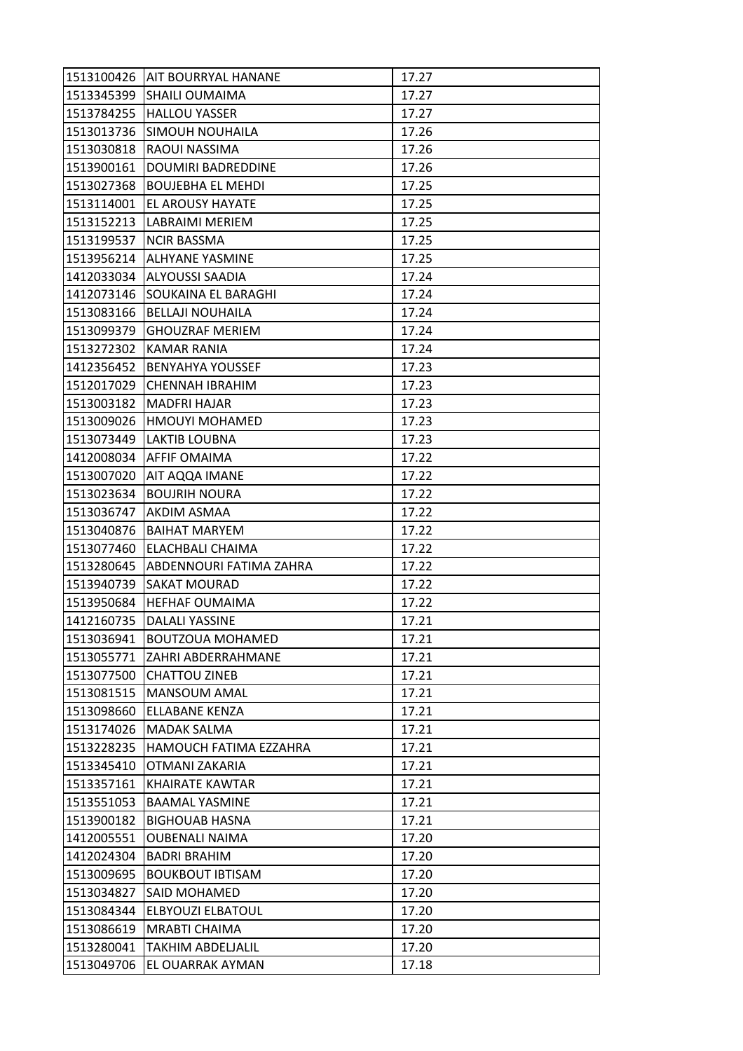|            | 1513100426   AIT BOURRYAL HANANE | 17.27 |
|------------|----------------------------------|-------|
| 1513345399 | <b>SHAILI OUMAIMA</b>            | 17.27 |
| 1513784255 | <b>HALLOU YASSER</b>             | 17.27 |
| 1513013736 | <b>SIMOUH NOUHAILA</b>           | 17.26 |
| 1513030818 | <b>RAOUI NASSIMA</b>             | 17.26 |
| 1513900161 | <b>DOUMIRI BADREDDINE</b>        | 17.26 |
| 1513027368 | <b>BOUJEBHA EL MEHDI</b>         | 17.25 |
| 1513114001 | <b>EL AROUSY HAYATE</b>          | 17.25 |
|            | 1513152213 LABRAIMI MERIEM       | 17.25 |
| 1513199537 | <b>NCIR BASSMA</b>               | 17.25 |
|            | 1513956214 ALHYANE YASMINE       | 17.25 |
| 1412033034 | <b>ALYOUSSI SAADIA</b>           | 17.24 |
| 1412073146 | SOUKAINA EL BARAGHI              | 17.24 |
| 1513083166 | <b>BELLAJI NOUHAILA</b>          | 17.24 |
| 1513099379 | <b>GHOUZRAF MERIEM</b>           | 17.24 |
|            | 1513272302 KAMAR RANIA           | 17.24 |
|            | 1412356452  BENYAHYA YOUSSEF     | 17.23 |
| 1512017029 | <b>CHENNAH IBRAHIM</b>           | 17.23 |
| 1513003182 | <b>MADFRI HAJAR</b>              | 17.23 |
| 1513009026 | <b>HMOUYI MOHAMED</b>            | 17.23 |
|            | 1513073449 LAKTIB LOUBNA         | 17.23 |
| 1412008034 | <b>AFFIF OMAIMA</b>              | 17.22 |
| 1513007020 | <b>AIT AQQA IMANE</b>            | 17.22 |
| 1513023634 | <b>BOUJRIH NOURA</b>             | 17.22 |
| 1513036747 | AKDIM ASMAA                      | 17.22 |
| 1513040876 | <b>BAIHAT MARYEM</b>             | 17.22 |
| 1513077460 | <b>ELACHBALI CHAIMA</b>          | 17.22 |
| 1513280645 | <b>ABDENNOURI FATIMA ZAHRA</b>   | 17.22 |
| 1513940739 | <b>SAKAT MOURAD</b>              | 17.22 |
| 1513950684 | <b>HEFHAF OUMAIMA</b>            | 17.22 |
| 1412160735 | <b>DALALI YASSINE</b>            | 17.21 |
| 1513036941 | <b>BOUTZOUA MOHAMED</b>          | 17.21 |
| 1513055771 | <b>ZAHRI ABDERRAHMANE</b>        | 17.21 |
| 1513077500 | <b>CHATTOU ZINEB</b>             | 17.21 |
| 1513081515 | MANSOUM AMAL                     | 17.21 |
| 1513098660 | <b>ELLABANE KENZA</b>            | 17.21 |
| 1513174026 | <b>MADAK SALMA</b>               | 17.21 |
| 1513228235 | <b>HAMOUCH FATIMA EZZAHRA</b>    | 17.21 |
| 1513345410 | OTMANI ZAKARIA                   | 17.21 |
| 1513357161 | <b>KHAIRATE KAWTAR</b>           | 17.21 |
| 1513551053 | <b>BAAMAL YASMINE</b>            | 17.21 |
| 1513900182 | <b>BIGHOUAB HASNA</b>            | 17.21 |
| 1412005551 | <b>OUBENALI NAIMA</b>            | 17.20 |
| 1412024304 | <b>BADRI BRAHIM</b>              | 17.20 |
| 1513009695 | <b>BOUKBOUT IBTISAM</b>          | 17.20 |
| 1513034827 | SAID MOHAMED                     | 17.20 |
| 1513084344 | <b>ELBYOUZI ELBATOUL</b>         | 17.20 |
| 1513086619 | <b>MRABTI CHAIMA</b>             | 17.20 |
| 1513280041 | <b>TAKHIM ABDELJALIL</b>         | 17.20 |
| 1513049706 | EL OUARRAK AYMAN                 | 17.18 |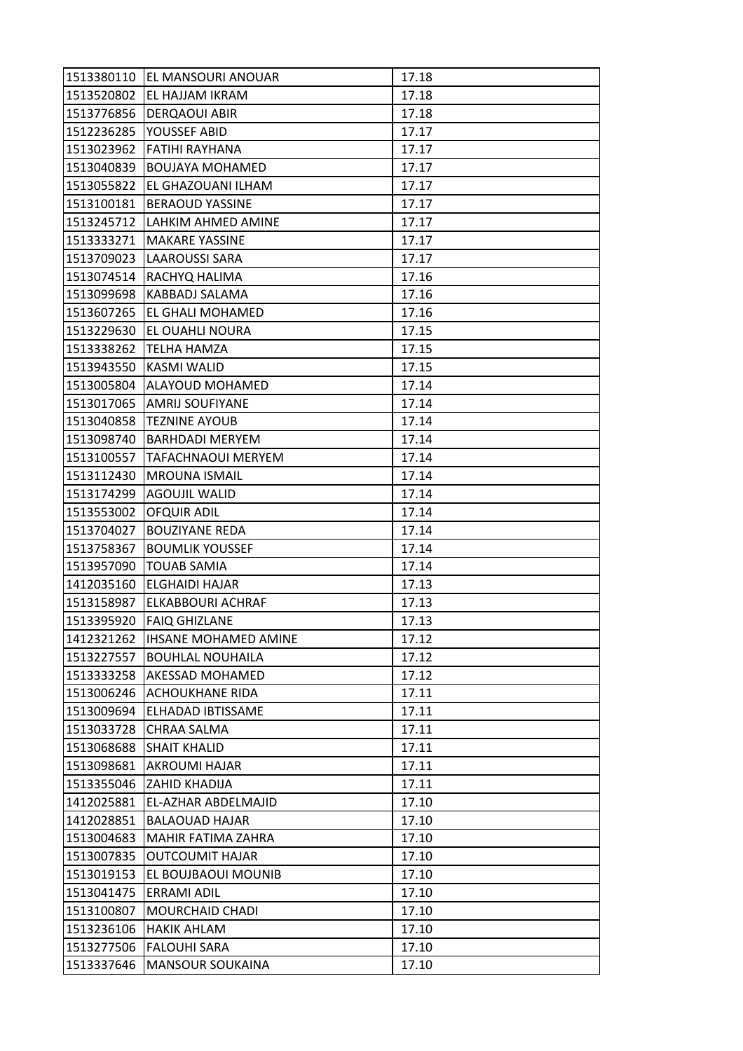|            | 1513380110   EL MANSOURI ANOUAR | 17.18 |
|------------|---------------------------------|-------|
| 1513520802 | <b>EL HAJJAM IKRAM</b>          | 17.18 |
| 1513776856 | <b>DERQAOUI ABIR</b>            | 17.18 |
| 1512236285 | YOUSSEF ABID                    | 17.17 |
| 1513023962 | <b>FATIHI RAYHANA</b>           | 17.17 |
| 1513040839 | <b>BOUJAYA MOHAMED</b>          | 17.17 |
| 1513055822 | <b>EL GHAZOUANI ILHAM</b>       | 17.17 |
| 1513100181 | <b>BERAOUD YASSINE</b>          | 17.17 |
| 1513245712 | LAHKIM AHMED AMINE              | 17.17 |
| 1513333271 | <b>MAKARE YASSINE</b>           | 17.17 |
| 1513709023 | <b>LAAROUSSI SARA</b>           | 17.17 |
| 1513074514 | RACHYQ HALIMA                   | 17.16 |
| 1513099698 | KABBADJ SALAMA                  | 17.16 |
| 1513607265 | <b>EL GHALI MOHAMED</b>         | 17.16 |
| 1513229630 | <b>EL OUAHLI NOURA</b>          | 17.15 |
| 1513338262 | <b>TELHA HAMZA</b>              | 17.15 |
| 1513943550 | <b>KASMI WALID</b>              | 17.15 |
| 1513005804 | ALAYOUD MOHAMED                 | 17.14 |
| 1513017065 | <b>AMRIJ SOUFIYANE</b>          | 17.14 |
| 1513040858 | <b>TEZNINE AYOUB</b>            | 17.14 |
| 1513098740 | <b>BARHDADI MERYEM</b>          | 17.14 |
| 1513100557 | TAFACHNAOUI MERYEM              | 17.14 |
| 1513112430 | <b>MROUNA ISMAIL</b>            | 17.14 |
| 1513174299 | AGOUJIL WALID                   | 17.14 |
| 1513553002 | OFQUIR ADIL                     | 17.14 |
| 1513704027 | <b>BOUZIYANE REDA</b>           | 17.14 |
| 1513758367 | <b>BOUMLIK YOUSSEF</b>          | 17.14 |
| 1513957090 | <b>TOUAB SAMIA</b>              | 17.14 |
| 1412035160 | <b>ELGHAIDI HAJAR</b>           | 17.13 |
| 1513158987 | ELKABBOURI ACHRAF               | 17.13 |
| 1513395920 | <b>FAIQ GHIZLANE</b>            | 17.13 |
| 1412321262 | <b>IHSANE MOHAMED AMINE</b>     | 17.12 |
| 1513227557 | <b>BOUHLAL NOUHAILA</b>         | 17.12 |
| 1513333258 | AKESSAD MOHAMED                 | 17.12 |
| 1513006246 | <b>ACHOUKHANE RIDA</b>          | 17.11 |
| 1513009694 | ELHADAD IBTISSAME               | 17.11 |
| 1513033728 | CHRAA SALMA                     | 17.11 |
| 1513068688 | <b>SHAIT KHALID</b>             | 17.11 |
| 1513098681 | AKROUMI HAJAR                   | 17.11 |
| 1513355046 | <b>ZAHID KHADIJA</b>            | 17.11 |
| 1412025881 | EL-AZHAR ABDELMAJID             | 17.10 |
| 1412028851 | <b>BALAOUAD HAJAR</b>           | 17.10 |
| 1513004683 | <b>MAHIR FATIMA ZAHRA</b>       | 17.10 |
| 1513007835 | <b>OUTCOUMIT HAJAR</b>          | 17.10 |
| 1513019153 | EL BOUJBAOUI MOUNIB             | 17.10 |
| 1513041475 | <b>ERRAMI ADIL</b>              | 17.10 |
| 1513100807 | <b>MOURCHAID CHADI</b>          | 17.10 |
| 1513236106 | <b>HAKIK AHLAM</b>              | 17.10 |
| 1513277506 | <b>FALOUHI SARA</b>             | 17.10 |
| 1513337646 | <b>MANSOUR SOUKAINA</b>         | 17.10 |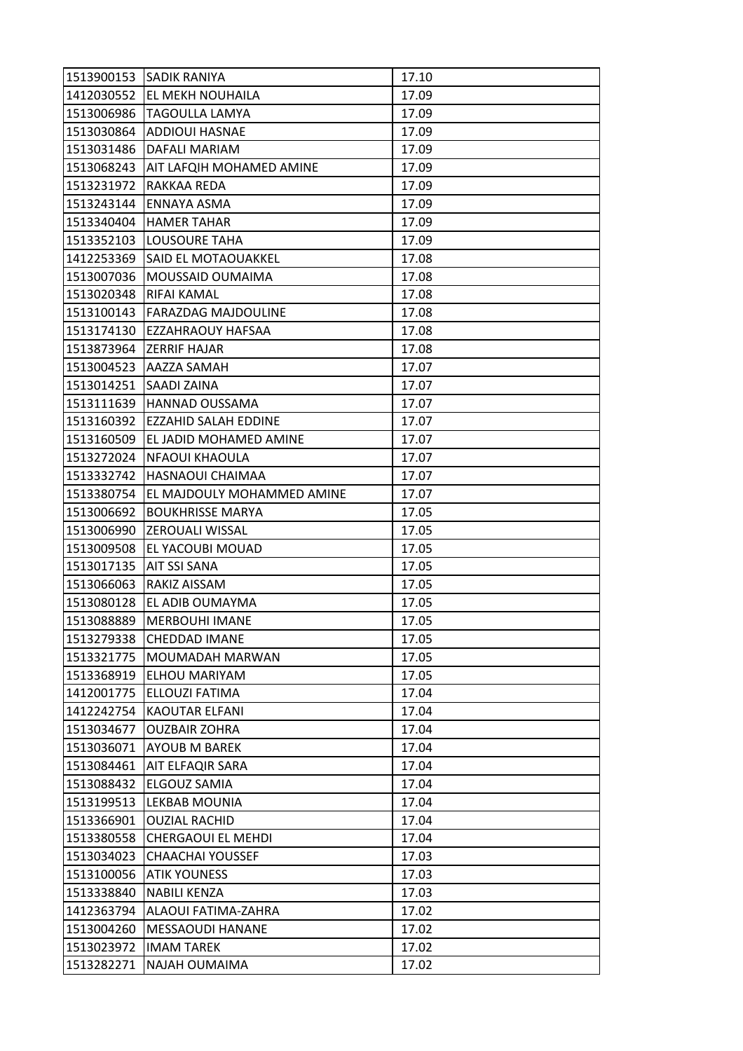|            | 1513900153 SADIK RANIYA         | 17.10 |
|------------|---------------------------------|-------|
| 1412030552 | <b>EL MEKH NOUHAILA</b>         | 17.09 |
| 1513006986 | <b>TAGOULLA LAMYA</b>           | 17.09 |
| 1513030864 | <b>ADDIOUI HASNAE</b>           | 17.09 |
| 1513031486 | DAFALI MARIAM                   | 17.09 |
| 1513068243 | <b>AIT LAFQIH MOHAMED AMINE</b> | 17.09 |
| 1513231972 | RAKKAA REDA                     | 17.09 |
| 1513243144 | lENNAYA ASMA                    | 17.09 |
| 1513340404 | <b>HAMER TAHAR</b>              | 17.09 |
| 1513352103 | <b>LOUSOURE TAHA</b>            | 17.09 |
| 1412253369 | <b>SAID EL MOTAOUAKKEL</b>      | 17.08 |
| 1513007036 | MOUSSAID OUMAIMA                | 17.08 |
| 1513020348 | RIFAI KAMAL                     | 17.08 |
| 1513100143 | <b>FARAZDAG MAJDOULINE</b>      | 17.08 |
| 1513174130 | <b>EZZAHRAOUY HAFSAA</b>        | 17.08 |
| 1513873964 | <b>ZERRIF HAJAR</b>             | 17.08 |
| 1513004523 | <b>AAZZA SAMAH</b>              | 17.07 |
| 1513014251 | <b>SAADI ZAINA</b>              | 17.07 |
| 1513111639 | <b>HANNAD OUSSAMA</b>           | 17.07 |
| 1513160392 | EZZAHID SALAH EDDINE            | 17.07 |
| 1513160509 | <b>EL JADID MOHAMED AMINE</b>   | 17.07 |
| 1513272024 | NFAOUI KHAOULA                  | 17.07 |
| 1513332742 | <b>HASNAOUI CHAIMAA</b>         | 17.07 |
| 1513380754 | EL MAJDOULY MOHAMMED AMINE      | 17.07 |
| 1513006692 | <b>BOUKHRISSE MARYA</b>         | 17.05 |
| 1513006990 | <b>ZEROUALI WISSAL</b>          | 17.05 |
| 1513009508 | <b>EL YACOUBI MOUAD</b>         | 17.05 |
| 1513017135 | <b>AIT SSI SANA</b>             | 17.05 |
| 1513066063 | RAKIZ AISSAM                    | 17.05 |
| 1513080128 | EL ADIB OUMAYMA                 | 17.05 |
| 1513088889 | <b>MERBOUHI IMANE</b>           | 17.05 |
| 1513279338 | <b>CHEDDAD IMANE</b>            | 17.05 |
| 1513321775 | MOUMADAH MARWAN                 | 17.05 |
| 1513368919 | <b>ELHOU MARIYAM</b>            | 17.05 |
| 1412001775 | ELLOUZI FATIMA                  | 17.04 |
| 1412242754 | KAOUTAR ELFANI                  | 17.04 |
| 1513034677 | <b>OUZBAIR ZOHRA</b>            | 17.04 |
| 1513036071 | <b>AYOUB M BAREK</b>            | 17.04 |
| 1513084461 | <b>AIT ELFAQIR SARA</b>         | 17.04 |
| 1513088432 | <b>ELGOUZ SAMIA</b>             | 17.04 |
| 1513199513 | LEKBAB MOUNIA                   | 17.04 |
| 1513366901 | <b>OUZIAL RACHID</b>            | 17.04 |
| 1513380558 | <b>CHERGAOUI EL MEHDI</b>       | 17.04 |
| 1513034023 | <b>CHAACHAI YOUSSEF</b>         | 17.03 |
| 1513100056 | <b>ATIK YOUNESS</b>             | 17.03 |
| 1513338840 | NABILI KENZA                    | 17.03 |
| 1412363794 | ALAOUI FATIMA-ZAHRA             | 17.02 |
| 1513004260 | <b>MESSAOUDI HANANE</b>         | 17.02 |
| 1513023972 | <b>IMAM TAREK</b>               | 17.02 |
| 1513282271 | NAJAH OUMAIMA                   | 17.02 |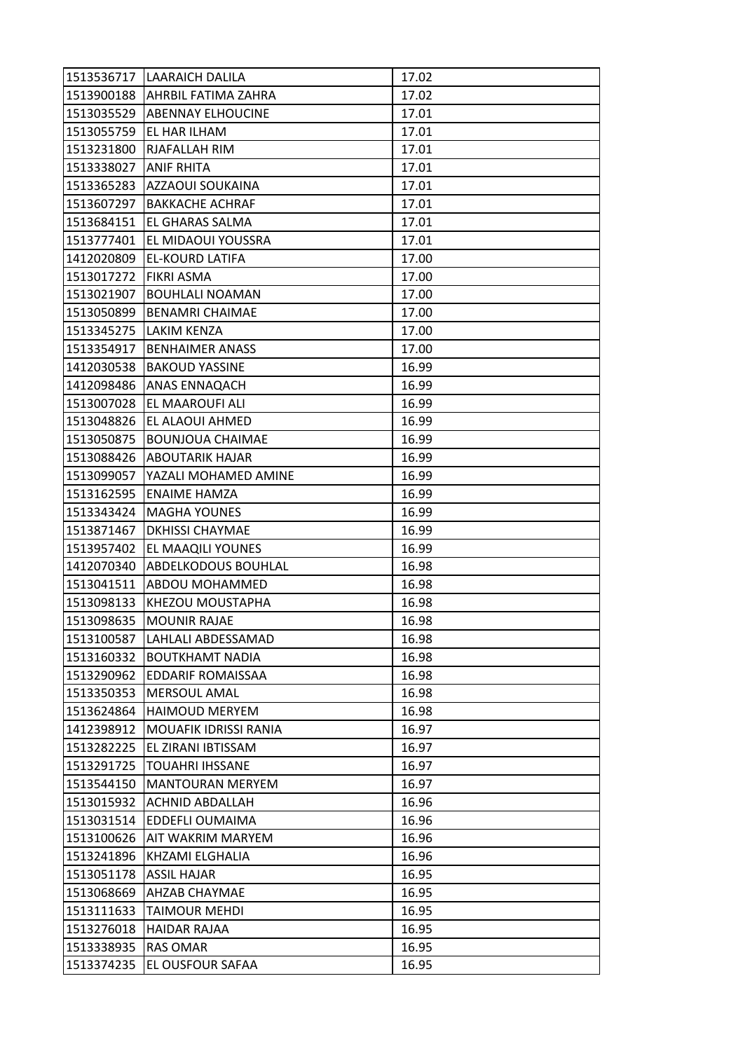|            | 1513536717   LAARAICH DALILA   | 17.02 |
|------------|--------------------------------|-------|
|            | 1513900188 AHRBIL FATIMA ZAHRA | 17.02 |
| 1513035529 | ABENNAY ELHOUCINE              | 17.01 |
| 1513055759 | EL HAR ILHAM                   | 17.01 |
| 1513231800 | <b>RJAFALLAH RIM</b>           | 17.01 |
| 1513338027 | <b>ANIF RHITA</b>              | 17.01 |
| 1513365283 | <b>AZZAOUI SOUKAINA</b>        | 17.01 |
| 1513607297 | <b>BAKKACHE ACHRAF</b>         | 17.01 |
| 1513684151 | <b>EL GHARAS SALMA</b>         | 17.01 |
| 1513777401 | <b>EL MIDAOUI YOUSSRA</b>      | 17.01 |
| 1412020809 | <b>EL-KOURD LATIFA</b>         | 17.00 |
| 1513017272 | <b>FIKRI ASMA</b>              | 17.00 |
| 1513021907 | <b>BOUHLALI NOAMAN</b>         | 17.00 |
| 1513050899 | <b>BENAMRI CHAIMAE</b>         | 17.00 |
|            | 1513345275 LAKIM KENZA         | 17.00 |
| 1513354917 | <b>BENHAIMER ANASS</b>         | 17.00 |
| 1412030538 | <b>BAKOUD YASSINE</b>          | 16.99 |
| 1412098486 | <b>ANAS ENNAQACH</b>           | 16.99 |
| 1513007028 | <b>EL MAAROUFI ALI</b>         | 16.99 |
| 1513048826 | EL ALAOUI AHMED                | 16.99 |
| 1513050875 | <b>BOUNJOUA CHAIMAE</b>        | 16.99 |
| 1513088426 | <b>ABOUTARIK HAJAR</b>         | 16.99 |
| 1513099057 | YAZALI MOHAMED AMINE           | 16.99 |
| 1513162595 | <b>ENAIME HAMZA</b>            | 16.99 |
| 1513343424 | MAGHA YOUNES                   | 16.99 |
| 1513871467 | <b>DKHISSI CHAYMAE</b>         | 16.99 |
| 1513957402 | EL MAAQILI YOUNES              | 16.99 |
| 1412070340 | <b>ABDELKODOUS BOUHLAL</b>     | 16.98 |
| 1513041511 | <b>ABDOU MOHAMMED</b>          | 16.98 |
| 1513098133 | <b>KHEZOU MOUSTAPHA</b>        | 16.98 |
| 1513098635 | <b>MOUNIR RAJAE</b>            | 16.98 |
| 1513100587 | LAHLALI ABDESSAMAD             | 16.98 |
| 1513160332 | <b>BOUTKHAMT NADIA</b>         | 16.98 |
| 1513290962 | <b>EDDARIF ROMAISSAA</b>       | 16.98 |
| 1513350353 | <b>MERSOUL AMAL</b>            | 16.98 |
| 1513624864 | <b>HAIMOUD MERYEM</b>          | 16.98 |
| 1412398912 | <b>MOUAFIK IDRISSI RANIA</b>   | 16.97 |
| 1513282225 | EL ZIRANI IBTISSAM             | 16.97 |
| 1513291725 | <b>TOUAHRI IHSSANE</b>         | 16.97 |
| 1513544150 | MANTOURAN MERYEM               | 16.97 |
| 1513015932 | <b>ACHNID ABDALLAH</b>         | 16.96 |
| 1513031514 | <b>EDDEFLI OUMAIMA</b>         | 16.96 |
| 1513100626 | <b>AIT WAKRIM MARYEM</b>       | 16.96 |
| 1513241896 | <b>KHZAMI ELGHALIA</b>         | 16.96 |
| 1513051178 | <b>ASSIL HAJAR</b>             | 16.95 |
| 1513068669 | AHZAB CHAYMAE                  | 16.95 |
| 1513111633 | TAIMOUR MEHDI                  | 16.95 |
| 1513276018 | <b>HAIDAR RAJAA</b>            | 16.95 |
| 1513338935 | <b>RAS OMAR</b>                | 16.95 |
| 1513374235 | EL OUSFOUR SAFAA               | 16.95 |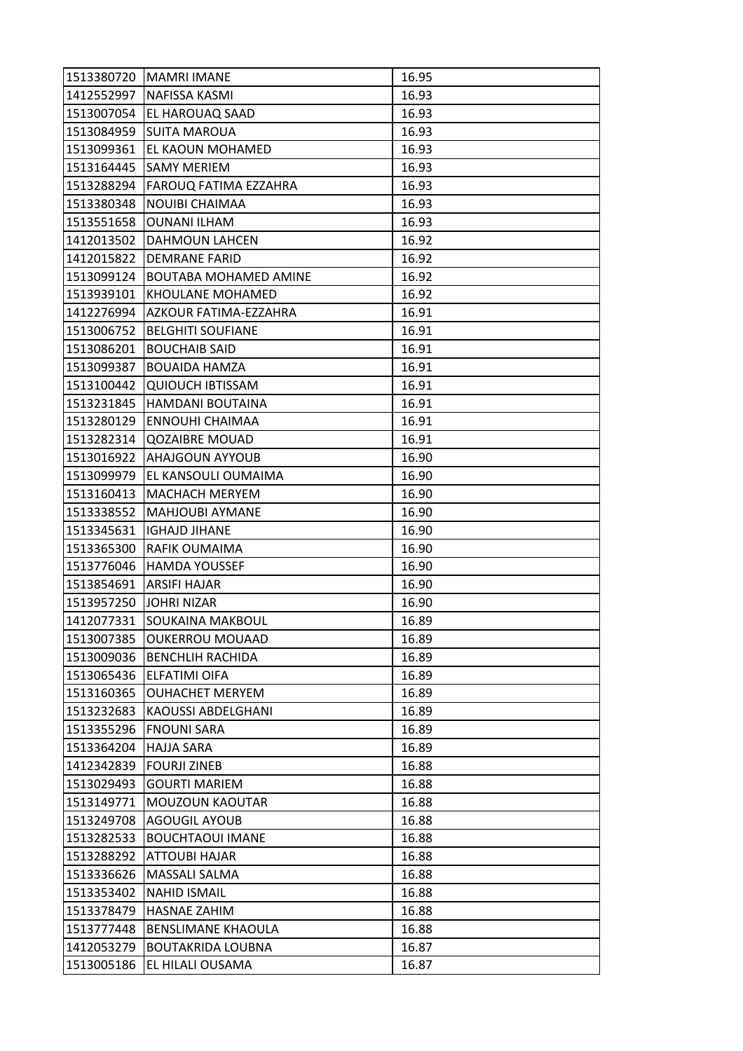| 1513380720 | MAMRI IMANE                  | 16.95 |
|------------|------------------------------|-------|
|            | 1412552997   NAFISSA KASMI   | 16.93 |
| 1513007054 | <b>EL HAROUAQ SAAD</b>       | 16.93 |
| 1513084959 | <b>SUITA MAROUA</b>          | 16.93 |
| 1513099361 | JEL KAOUN MOHAMED            | 16.93 |
| 1513164445 | <b>SAMY MERIEM</b>           | 16.93 |
| 1513288294 | <b>FAROUQ FATIMA EZZAHRA</b> | 16.93 |
| 1513380348 | <b>NOUIBI CHAIMAA</b>        | 16.93 |
| 1513551658 | <b>OUNANI ILHAM</b>          | 16.93 |
| 1412013502 | DAHMOUN LAHCEN               | 16.92 |
| 1412015822 | <b>DEMRANE FARID</b>         | 16.92 |
| 1513099124 | <b>BOUTABA MOHAMED AMINE</b> | 16.92 |
| 1513939101 | KHOULANE MOHAMED             | 16.92 |
| 1412276994 | AZKOUR FATIMA-EZZAHRA        | 16.91 |
| 1513006752 | <b>BELGHITI SOUFIANE</b>     | 16.91 |
| 1513086201 | <b>BOUCHAIB SAID</b>         | 16.91 |
| 1513099387 | <b>BOUAIDA HAMZA</b>         | 16.91 |
| 1513100442 | <b>QUIOUCH IBTISSAM</b>      | 16.91 |
| 1513231845 | <b>HAMDANI BOUTAINA</b>      | 16.91 |
| 1513280129 | <b>ENNOUHI CHAIMAA</b>       | 16.91 |
| 1513282314 | <b>QOZAIBRE MOUAD</b>        | 16.91 |
| 1513016922 | <b>AHAJGOUN AYYOUB</b>       | 16.90 |
| 1513099979 | EL KANSOULI OUMAIMA          | 16.90 |
| 1513160413 | MACHACH MERYEM               | 16.90 |
| 1513338552 | MAHJOUBI AYMANE              | 16.90 |
| 1513345631 | <b>IGHAJD JIHANE</b>         | 16.90 |
| 1513365300 | RAFIK OUMAIMA                | 16.90 |
| 1513776046 | <b>HAMDA YOUSSEF</b>         | 16.90 |
| 1513854691 | <b>ARSIFI HAJAR</b>          | 16.90 |
| 1513957250 | <b>JOHRI NIZAR</b>           | 16.90 |
| 1412077331 | <b>SOUKAINA MAKBOUL</b>      | 16.89 |
| 1513007385 | <b>OUKERROU MOUAAD</b>       | 16.89 |
| 1513009036 | <b>BENCHLIH RACHIDA</b>      | 16.89 |
| 1513065436 | <b>ELFATIMI OIFA</b>         | 16.89 |
| 1513160365 | <b>OUHACHET MERYEM</b>       | 16.89 |
| 1513232683 | KAOUSSI ABDELGHANI           | 16.89 |
| 1513355296 | <b>FNOUNI SARA</b>           | 16.89 |
| 1513364204 | <b>HAJJA SARA</b>            | 16.89 |
| 1412342839 | <b>FOURJI ZINEB</b>          | 16.88 |
| 1513029493 | <b>GOURTI MARIEM</b>         | 16.88 |
| 1513149771 | MOUZOUN KAOUTAR              | 16.88 |
| 1513249708 | <b>AGOUGIL AYOUB</b>         | 16.88 |
| 1513282533 | <b>BOUCHTAOUI IMANE</b>      | 16.88 |
| 1513288292 | <b>ATTOUBI HAJAR</b>         | 16.88 |
| 1513336626 | <b>MASSALI SALMA</b>         | 16.88 |
| 1513353402 | <b>NAHID ISMAIL</b>          | 16.88 |
| 1513378479 | <b>HASNAE ZAHIM</b>          | 16.88 |
| 1513777448 | <b>BENSLIMANE KHAOULA</b>    | 16.88 |
| 1412053279 | <b>BOUTAKRIDA LOUBNA</b>     | 16.87 |
| 1513005186 | EL HILALI OUSAMA             | 16.87 |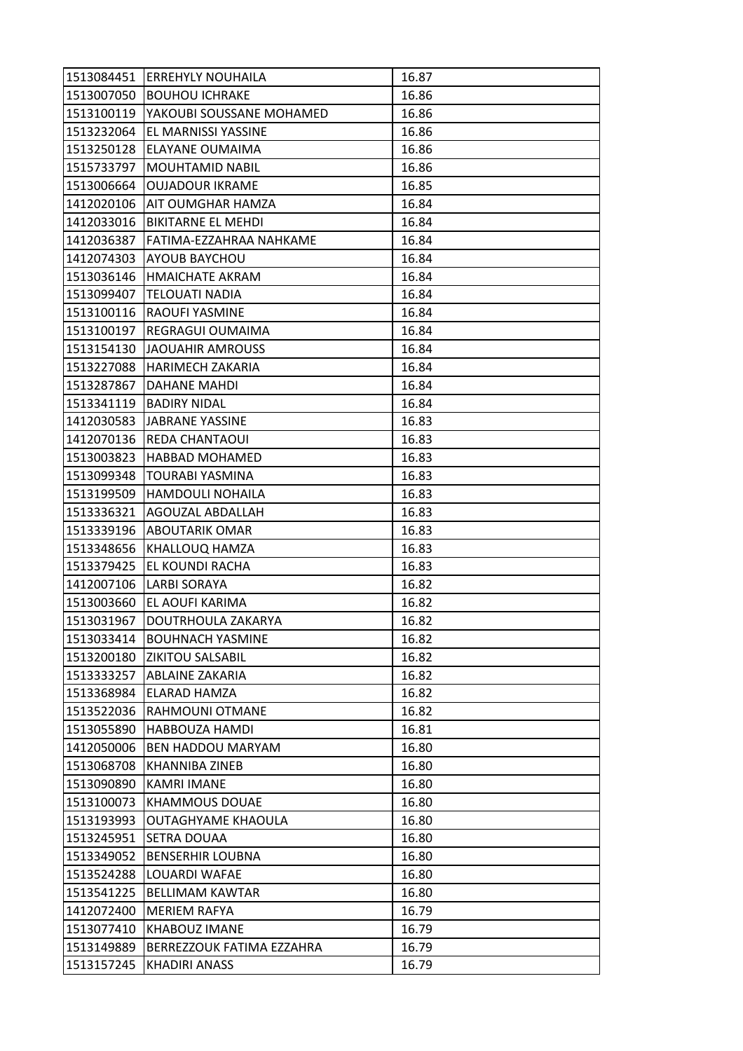|            | 1513084451 ERREHYLY NOUHAILA | 16.87 |
|------------|------------------------------|-------|
| 1513007050 | <b>BOUHOU ICHRAKE</b>        | 16.86 |
| 1513100119 | YAKOUBI SOUSSANE MOHAMED     | 16.86 |
| 1513232064 | EL MARNISSI YASSINE          | 16.86 |
| 1513250128 | <b>ELAYANE OUMAIMA</b>       | 16.86 |
| 1515733797 | <b>MOUHTAMID NABIL</b>       | 16.86 |
| 1513006664 | <b>OUJADOUR IKRAME</b>       | 16.85 |
| 1412020106 | AIT OUMGHAR HAMZA            | 16.84 |
| 1412033016 | <b>BIKITARNE EL MEHDI</b>    | 16.84 |
| 1412036387 | lFATIMA-EZZAHRAA NAHKAME     | 16.84 |
| 1412074303 | <b>AYOUB BAYCHOU</b>         | 16.84 |
| 1513036146 | <b>HMAICHATE AKRAM</b>       | 16.84 |
| 1513099407 | <b>TELOUATI NADIA</b>        | 16.84 |
| 1513100116 | <b>RAOUFI YASMINE</b>        | 16.84 |
| 1513100197 | REGRAGUI OUMAIMA             | 16.84 |
| 1513154130 | JAOUAHIR AMROUSS             | 16.84 |
| 1513227088 | HARIMECH ZAKARIA             | 16.84 |
| 1513287867 | <b>DAHANE MAHDI</b>          | 16.84 |
| 1513341119 | <b>BADIRY NIDAL</b>          | 16.84 |
| 1412030583 | <b>JABRANE YASSINE</b>       | 16.83 |
|            | 1412070136 REDA CHANTAOUI    | 16.83 |
| 1513003823 | <b>HABBAD MOHAMED</b>        | 16.83 |
| 1513099348 | <b>TOURABI YASMINA</b>       | 16.83 |
| 1513199509 | <b>HAMDOULI NOHAILA</b>      | 16.83 |
| 1513336321 | <b>AGOUZAL ABDALLAH</b>      | 16.83 |
| 1513339196 | <b>ABOUTARIK OMAR</b>        | 16.83 |
| 1513348656 | KHALLOUQ HAMZA               | 16.83 |
| 1513379425 | <b>EL KOUNDI RACHA</b>       | 16.83 |
| 1412007106 | <b>LARBI SORAYA</b>          | 16.82 |
| 1513003660 | EL AOUFI KARIMA              | 16.82 |
| 1513031967 | <b>DOUTRHOULA ZAKARYA</b>    | 16.82 |
| 1513033414 | <b>BOUHNACH YASMINE</b>      | 16.82 |
| 1513200180 | <b>ZIKITOU SALSABIL</b>      | 16.82 |
| 1513333257 | <b>ABLAINE ZAKARIA</b>       | 16.82 |
| 1513368984 | <b>ELARAD HAMZA</b>          | 16.82 |
| 1513522036 | RAHMOUNI OTMANE              | 16.82 |
| 1513055890 | <b>HABBOUZA HAMDI</b>        | 16.81 |
| 1412050006 | <b>BEN HADDOU MARYAM</b>     | 16.80 |
| 1513068708 | <b>KHANNIBA ZINEB</b>        | 16.80 |
| 1513090890 | <b>KAMRI IMANE</b>           | 16.80 |
| 1513100073 | <b>KHAMMOUS DOUAE</b>        | 16.80 |
| 1513193993 | <b>OUTAGHYAME KHAOULA</b>    | 16.80 |
| 1513245951 | <b>SETRA DOUAA</b>           | 16.80 |
| 1513349052 | <b>BENSERHIR LOUBNA</b>      | 16.80 |
| 1513524288 | LOUARDI WAFAE                | 16.80 |
| 1513541225 | <b>BELLIMAM KAWTAR</b>       | 16.80 |
| 1412072400 | <b>MERIEM RAFYA</b>          | 16.79 |
| 1513077410 | <b>KHABOUZ IMANE</b>         | 16.79 |
| 1513149889 | BERREZZOUK FATIMA EZZAHRA    | 16.79 |
| 1513157245 | KHADIRI ANASS                | 16.79 |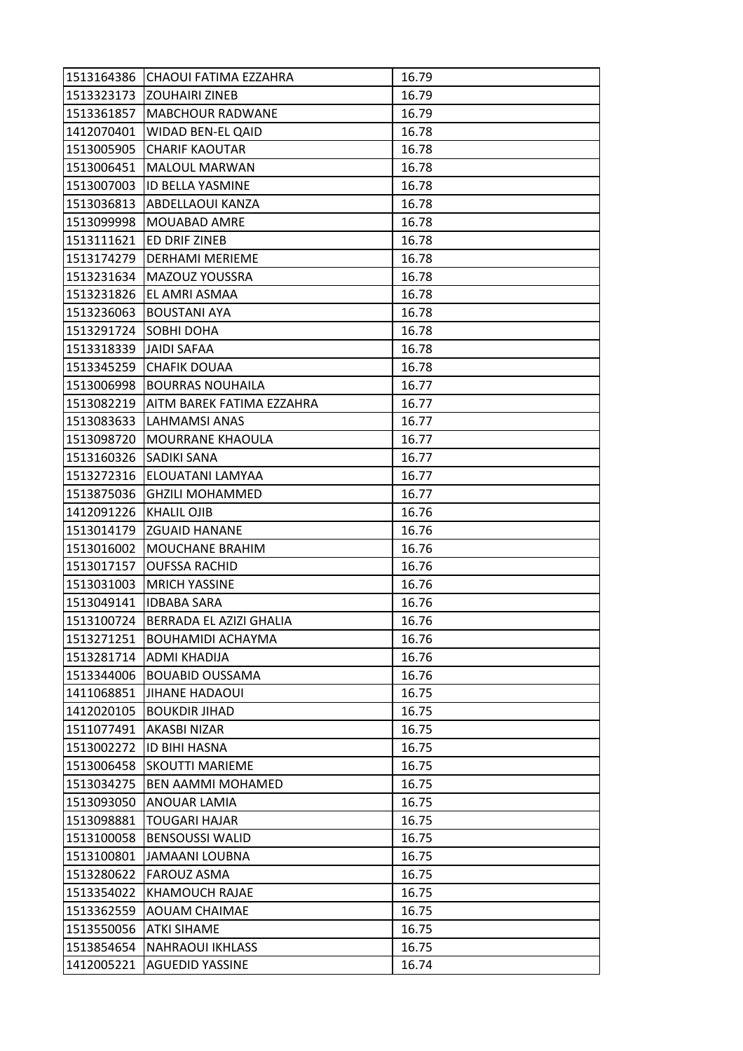| 1513164386               | <b>CHAOUI FATIMA EZZAHRA</b>   | 16.79 |
|--------------------------|--------------------------------|-------|
| 1513323173               | <b>ZOUHAIRI ZINEB</b>          | 16.79 |
| 1513361857               | <b>MABCHOUR RADWANE</b>        | 16.79 |
| 1412070401               | WIDAD BEN-EL QAID              | 16.78 |
| 1513005905               | <b>CHARIF KAOUTAR</b>          | 16.78 |
| 1513006451               | <b>MALOUL MARWAN</b>           | 16.78 |
| 1513007003               | <b>ID BELLA YASMINE</b>        | 16.78 |
| 1513036813               | ABDELLAOUI KANZA               | 16.78 |
| 1513099998               | MOUABAD AMRE                   | 16.78 |
| 1513111621               | <b>ED DRIF ZINEB</b>           | 16.78 |
| 1513174279               | <b>DERHAMI MERIEME</b>         | 16.78 |
| 1513231634               | <b>MAZOUZ YOUSSRA</b>          | 16.78 |
| 1513231826               | EL AMRI ASMAA                  | 16.78 |
| 1513236063               | <b>BOUSTANI AYA</b>            | 16.78 |
| 1513291724               | <b>SOBHI DOHA</b>              | 16.78 |
| 1513318339 JAIDI SAFAA   |                                | 16.78 |
| 1513345259               | <b>CHAFIK DOUAA</b>            | 16.78 |
| 1513006998               | <b>BOURRAS NOUHAILA</b>        | 16.77 |
| 1513082219               | AITM BAREK FATIMA EZZAHRA      | 16.77 |
| 1513083633               | LAHMAMSI ANAS                  | 16.77 |
|                          | 1513098720   MOURRANE KHAOULA  | 16.77 |
| 1513160326               | <b>SADIKI SANA</b>             | 16.77 |
| 1513272316               | <b>ELOUATANI LAMYAA</b>        | 16.77 |
| 1513875036               | <b>GHZILI MOHAMMED</b>         | 16.77 |
| 1412091226   KHALIL OJIB |                                | 16.76 |
| 1513014179               | <b>ZGUAID HANANE</b>           | 16.76 |
| 1513016002               | <b>MOUCHANE BRAHIM</b>         | 16.76 |
| 1513017157               | <b>OUFSSA RACHID</b>           | 16.76 |
| 1513031003               | <b>MRICH YASSINE</b>           | 16.76 |
|                          | 1513049141   IDBABA SARA       | 16.76 |
| 1513100724               | <b>BERRADA EL AZIZI GHALIA</b> | 16.76 |
| 1513271251               | BOUHAMIDI ACHAYMA              | 16.76 |
| 1513281714               | <b>ADMI KHADIJA</b>            | 16.76 |
| 1513344006               | <b>BOUABID OUSSAMA</b>         | 16.76 |
| 1411068851               | <b>JIHANE HADAOUI</b>          | 16.75 |
| 1412020105               | <b>BOUKDIR JIHAD</b>           | 16.75 |
| 1511077491               | <b>AKASBI NIZAR</b>            | 16.75 |
| 1513002272               | <b>ID BIHI HASNA</b>           | 16.75 |
| 1513006458               | <b>SKOUTTI MARIEME</b>         | 16.75 |
| 1513034275               | <b>BEN AAMMI MOHAMED</b>       | 16.75 |
| 1513093050               | <b>ANOUAR LAMIA</b>            | 16.75 |
| 1513098881               | <b>TOUGARI HAJAR</b>           | 16.75 |
| 1513100058               | <b>BENSOUSSI WALID</b>         | 16.75 |
| 1513100801               | <b>JAMAANI LOUBNA</b>          | 16.75 |
| 1513280622               | <b>FAROUZ ASMA</b>             | 16.75 |
| 1513354022               | KHAMOUCH RAJAE                 | 16.75 |
| 1513362559               | <b>AOUAM CHAIMAE</b>           | 16.75 |
| 1513550056               | <b>ATKI SIHAME</b>             | 16.75 |
| 1513854654               | <b>NAHRAOUI IKHLASS</b>        | 16.75 |
| 1412005221               | <b>AGUEDID YASSINE</b>         | 16.74 |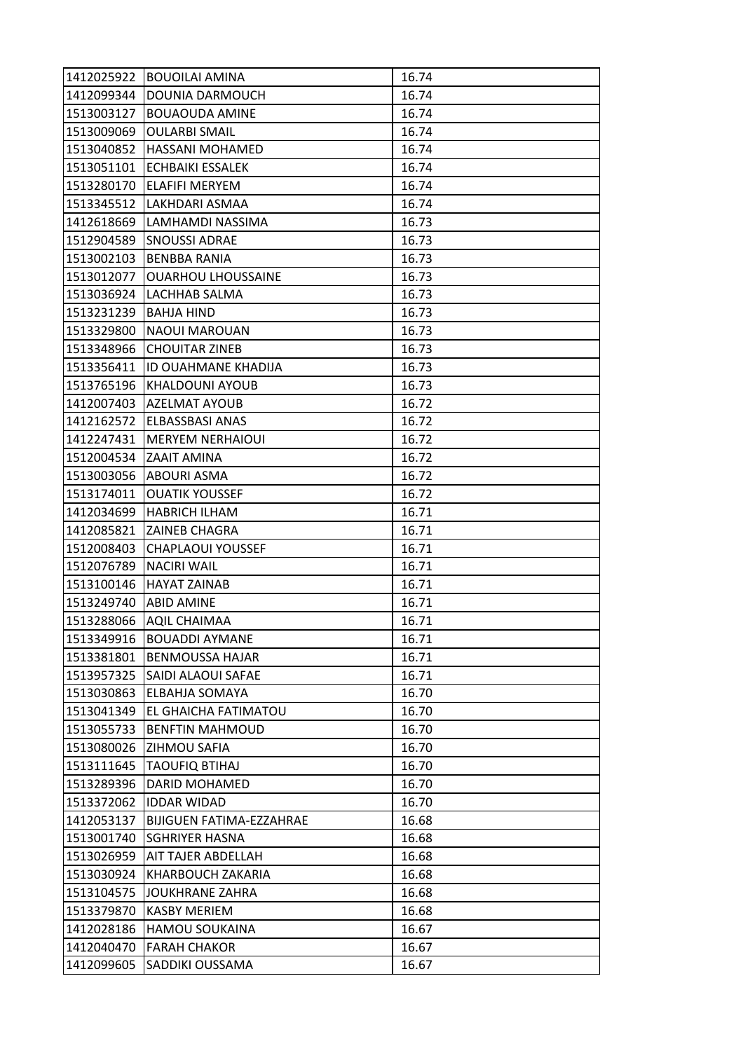| 1412025922 | <b>BOUOILAI AMINA</b>           | 16.74 |
|------------|---------------------------------|-------|
| 1412099344 | DOUNIA DARMOUCH                 | 16.74 |
| 1513003127 | <b>BOUAOUDA AMINE</b>           | 16.74 |
| 1513009069 | <b>OULARBI SMAIL</b>            | 16.74 |
| 1513040852 | <b>HASSANI MOHAMED</b>          | 16.74 |
| 1513051101 | <b>ECHBAIKI ESSALEK</b>         | 16.74 |
| 1513280170 | <b>ELAFIFI MERYEM</b>           | 16.74 |
| 1513345512 | LAKHDARI ASMAA                  | 16.74 |
| 1412618669 | LAMHAMDI NASSIMA                | 16.73 |
| 1512904589 | <b>SNOUSSI ADRAE</b>            | 16.73 |
| 1513002103 | <b>BENBBA RANIA</b>             | 16.73 |
| 1513012077 | <b>OUARHOU LHOUSSAINE</b>       | 16.73 |
| 1513036924 | LACHHAB SALMA                   | 16.73 |
| 1513231239 | <b>BAHJA HIND</b>               | 16.73 |
| 1513329800 | <b>NAOUI MAROUAN</b>            | 16.73 |
| 1513348966 | <b>CHOUITAR ZINEB</b>           | 16.73 |
| 1513356411 | <b>ID OUAHMANE KHADIJA</b>      | 16.73 |
| 1513765196 | <b>KHALDOUNI AYOUB</b>          | 16.73 |
| 1412007403 | <b>AZELMAT AYOUB</b>            | 16.72 |
| 1412162572 | <b>ELBASSBASI ANAS</b>          | 16.72 |
|            | 1412247431   MERYEM NERHAIOUI   | 16.72 |
| 1512004534 | <b>ZAAIT AMINA</b>              | 16.72 |
| 1513003056 | <b>ABOURI ASMA</b>              | 16.72 |
| 1513174011 | <b>OUATIK YOUSSEF</b>           | 16.72 |
| 1412034699 | HABRICH ILHAM                   | 16.71 |
|            | 1412085821 ZAINEB CHAGRA        | 16.71 |
| 1512008403 | <b>CHAPLAOUI YOUSSEF</b>        | 16.71 |
| 1512076789 | <b>NACIRI WAIL</b>              | 16.71 |
| 1513100146 | IHAYAT ZAINAB                   | 16.71 |
| 1513249740 | <b>ABID AMINE</b>               | 16.71 |
| 1513288066 | <b>AQIL CHAIMAA</b>             | 16.71 |
| 1513349916 | <b>BOUADDI AYMANE</b>           | 16.71 |
| 1513381801 | <b>BENMOUSSA HAJAR</b>          | 16.71 |
| 1513957325 | <b>SAIDI ALAOUI SAFAE</b>       | 16.71 |
| 1513030863 | <b>ELBAHJA SOMAYA</b>           | 16.70 |
| 1513041349 | EL GHAICHA FATIMATOU            | 16.70 |
| 1513055733 | <b>BENFTIN MAHMOUD</b>          | 16.70 |
| 1513080026 | <b>ZIHMOU SAFIA</b>             | 16.70 |
| 1513111645 | <b>TAOUFIQ BTIHAJ</b>           | 16.70 |
| 1513289396 | <b>DARID MOHAMED</b>            | 16.70 |
| 1513372062 | <b>IDDAR WIDAD</b>              | 16.70 |
| 1412053137 | <b>BIJIGUEN FATIMA-EZZAHRAE</b> | 16.68 |
| 1513001740 | <b>SGHRIYER HASNA</b>           | 16.68 |
| 1513026959 | <b>AIT TAJER ABDELLAH</b>       | 16.68 |
| 1513030924 | KHARBOUCH ZAKARIA               | 16.68 |
| 1513104575 | JOUKHRANE ZAHRA                 | 16.68 |
| 1513379870 | <b>KASBY MERIEM</b>             | 16.68 |
| 1412028186 | <b>HAMOU SOUKAINA</b>           | 16.67 |
| 1412040470 | <b>FARAH CHAKOR</b>             | 16.67 |
| 1412099605 | SADDIKI OUSSAMA                 | 16.67 |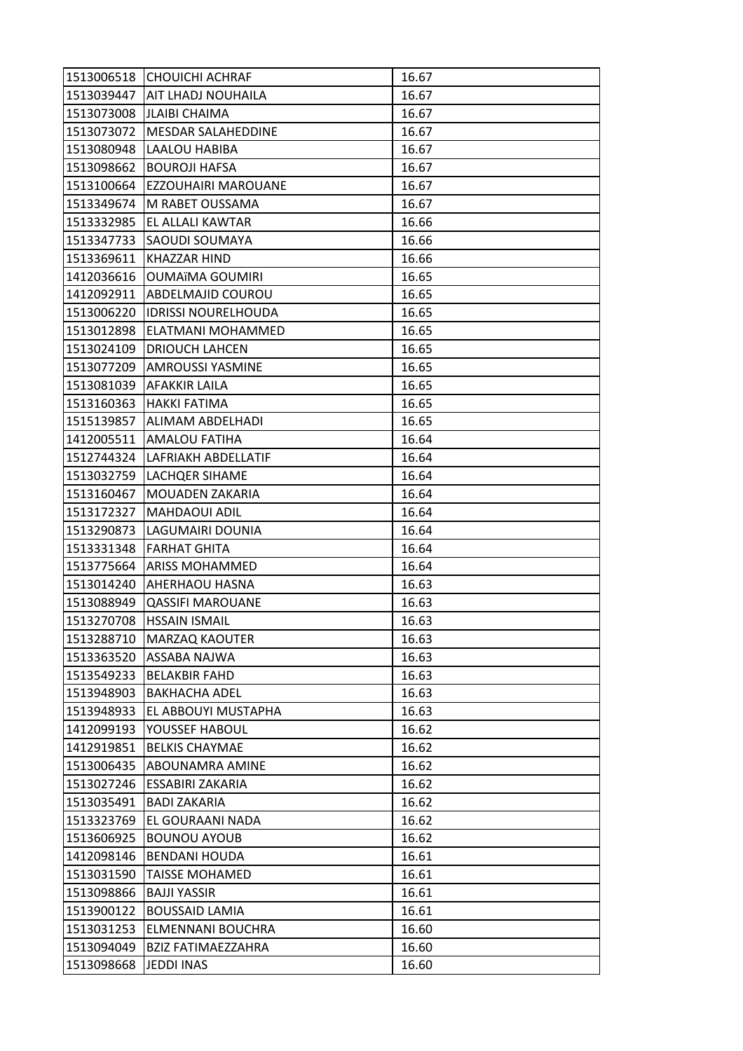|            | 1513006518 CHOUICHI ACHRAF      | 16.67 |
|------------|---------------------------------|-------|
|            | 1513039447   AIT LHADJ NOUHAILA | 16.67 |
| 1513073008 | <b>JLAIBI CHAIMA</b>            | 16.67 |
| 1513073072 | MESDAR SALAHEDDINE              | 16.67 |
| 1513080948 | LAALOU HABIBA                   | 16.67 |
| 1513098662 | <b>BOUROJI HAFSA</b>            | 16.67 |
| 1513100664 | <b>EZZOUHAIRI MAROUANE</b>      | 16.67 |
| 1513349674 | M RABET OUSSAMA                 | 16.67 |
| 1513332985 | <b>EL ALLALI KAWTAR</b>         | 16.66 |
| 1513347733 | <b>SAOUDI SOUMAYA</b>           | 16.66 |
| 1513369611 | KHAZZAR HIND                    | 16.66 |
| 1412036616 | <b>OUMAïMA GOUMIRI</b>          | 16.65 |
| 1412092911 | ABDELMAJID COUROU               | 16.65 |
| 1513006220 | <b>IDRISSI NOURELHOUDA</b>      | 16.65 |
| 1513012898 | ELATMANI MOHAMMED               | 16.65 |
| 1513024109 | <b>DRIOUCH LAHCEN</b>           | 16.65 |
| 1513077209 | <b>AMROUSSI YASMINE</b>         | 16.65 |
| 1513081039 | <b>AFAKKIR LAILA</b>            | 16.65 |
| 1513160363 | <b>HAKKI FATIMA</b>             | 16.65 |
| 1515139857 | ALIMAM ABDELHADI                | 16.65 |
|            | 1412005511   AMALOU FATIHA      | 16.64 |
| 1512744324 | LAFRIAKH ABDELLATIF             | 16.64 |
| 1513032759 | <b>LACHQER SIHAME</b>           | 16.64 |
| 1513160467 | MOUADEN ZAKARIA                 | 16.64 |
| 1513172327 | <b>MAHDAOUI ADIL</b>            | 16.64 |
| 1513290873 | LAGUMAIRI DOUNIA                | 16.64 |
| 1513331348 | <b>FARHAT GHITA</b>             | 16.64 |
| 1513775664 | <b>ARISS MOHAMMED</b>           | 16.64 |
| 1513014240 | <b>AHERHAOU HASNA</b>           | 16.63 |
| 1513088949 | <b>QASSIFI MAROUANE</b>         | 16.63 |
| 1513270708 | <b>HSSAIN ISMAIL</b>            | 16.63 |
| 1513288710 | <b>MARZAQ KAOUTER</b>           | 16.63 |
| 1513363520 | <b>ASSABA NAJWA</b>             | 16.63 |
| 1513549233 | <b>BELAKBIR FAHD</b>            | 16.63 |
| 1513948903 | <b>BAKHACHA ADEL</b>            | 16.63 |
| 1513948933 | EL ABBOUYI MUSTAPHA             | 16.63 |
| 1412099193 | YOUSSEF HABOUL                  | 16.62 |
| 1412919851 | <b>BELKIS CHAYMAE</b>           | 16.62 |
| 1513006435 | ABOUNAMRA AMINE                 | 16.62 |
| 1513027246 | <b>ESSABIRI ZAKARIA</b>         | 16.62 |
| 1513035491 | <b>BADI ZAKARIA</b>             | 16.62 |
| 1513323769 | EL GOURAANI NADA                | 16.62 |
| 1513606925 | <b>BOUNOU AYOUB</b>             | 16.62 |
| 1412098146 | <b>BENDANI HOUDA</b>            | 16.61 |
| 1513031590 | <b>TAISSE MOHAMED</b>           | 16.61 |
| 1513098866 | <b>BAJJI YASSIR</b>             | 16.61 |
| 1513900122 | <b>BOUSSAID LAMIA</b>           | 16.61 |
| 1513031253 | ELMENNANI BOUCHRA               | 16.60 |
| 1513094049 | <b>BZIZ FATIMAEZZAHRA</b>       | 16.60 |
| 1513098668 | JEDDI INAS                      | 16.60 |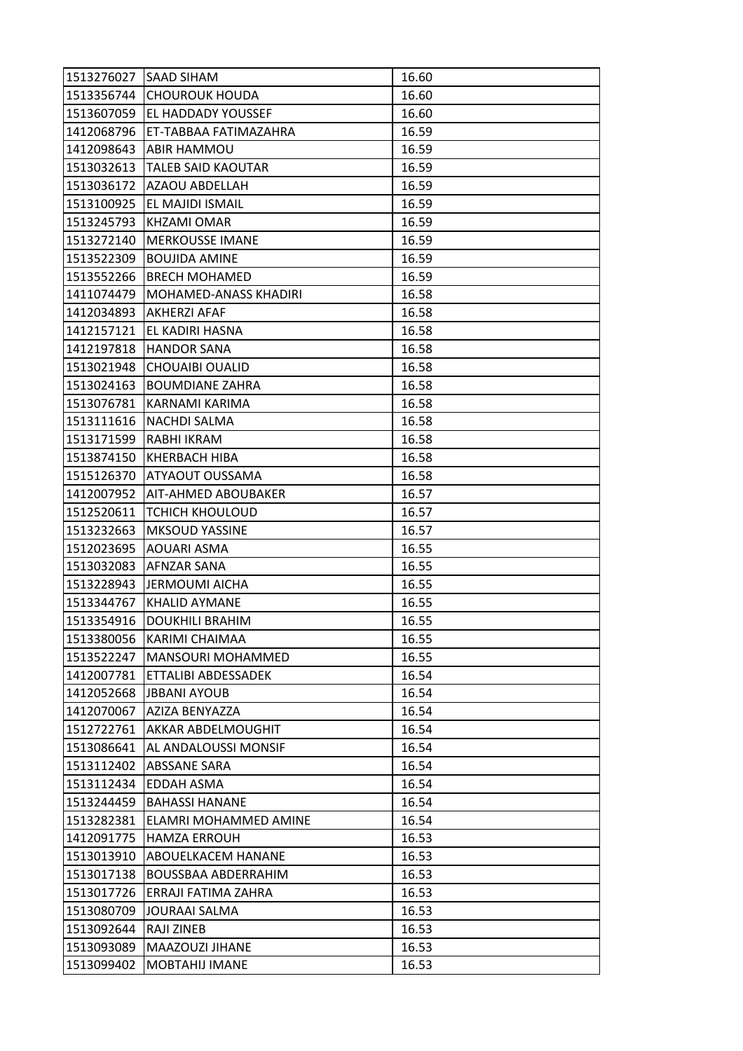| 1513276027 SAAD SIHAM |                              | 16.60 |
|-----------------------|------------------------------|-------|
|                       | 1513356744 CHOUROUK HOUDA    | 16.60 |
| 1513607059            | <b>EL HADDADY YOUSSEF</b>    | 16.60 |
| 1412068796            | ET-TABBAA FATIMAZAHRA        | 16.59 |
| 1412098643            | <b>ABIR HAMMOU</b>           | 16.59 |
| 1513032613            | <b>TALEB SAID KAOUTAR</b>    | 16.59 |
|                       | 1513036172   AZAOU ABDELLAH  | 16.59 |
| 1513100925            | <b>EL MAJIDI ISMAIL</b>      | 16.59 |
| 1513245793            | KHZAMI OMAR                  | 16.59 |
| 1513272140            | <b>MERKOUSSE IMANE</b>       | 16.59 |
| 1513522309            | <b>BOUJIDA AMINE</b>         | 16.59 |
| 1513552266            | <b>BRECH MOHAMED</b>         | 16.59 |
| 1411074479            | <b>MOHAMED-ANASS KHADIRI</b> | 16.58 |
| 1412034893            | <b>AKHERZI AFAF</b>          | 16.58 |
| 1412157121            | EL KADIRI HASNA              | 16.58 |
| 1412197818            | <b>HANDOR SANA</b>           | 16.58 |
| 1513021948            | <b>CHOUAIBI OUALID</b>       | 16.58 |
| 1513024163            | <b>BOUMDIANE ZAHRA</b>       | 16.58 |
| 1513076781            | KARNAMI KARIMA               | 16.58 |
| 1513111616            | <b>NACHDI SALMA</b>          | 16.58 |
|                       | 1513171599 RABHI IKRAM       | 16.58 |
| 1513874150            | <b>KHERBACH HIBA</b>         | 16.58 |
| 1515126370            | <b>ATYAOUT OUSSAMA</b>       | 16.58 |
| 1412007952            | <b>JAIT-AHMED ABOUBAKER</b>  | 16.57 |
| 1512520611            | <b>TCHICH KHOULOUD</b>       | 16.57 |
| 1513232663            | <b>MKSOUD YASSINE</b>        | 16.57 |
| 1512023695            | <b>AOUARI ASMA</b>           | 16.55 |
| 1513032083            | <b>AFNZAR SANA</b>           | 16.55 |
| 1513228943            | <b>JERMOUMI AICHA</b>        | 16.55 |
| 1513344767            | <b>KHALID AYMANE</b>         | 16.55 |
| 1513354916            | <b>DOUKHILI BRAHIM</b>       | 16.55 |
| 1513380056            | KARIMI CHAIMAA               | 16.55 |
| 1513522247            | <b>MANSOURI MOHAMMED</b>     | 16.55 |
| 1412007781            | ETTALIBI ABDESSADEK          | 16.54 |
| 1412052668            | <b>JBBANI AYOUB</b>          | 16.54 |
| 1412070067            | AZIZA BENYAZZA               | 16.54 |
| 1512722761            | AKKAR ABDELMOUGHIT           | 16.54 |
| 1513086641            | <b>AL ANDALOUSSI MONSIF</b>  | 16.54 |
| 1513112402            | ABSSANE SARA                 | 16.54 |
| 1513112434            | <b>EDDAH ASMA</b>            | 16.54 |
| 1513244459            | <b>BAHASSI HANANE</b>        | 16.54 |
| 1513282381            | ELAMRI MOHAMMED AMINE        | 16.54 |
| 1412091775            | <b>HAMZA ERROUH</b>          | 16.53 |
| 1513013910            | ABOUELKACEM HANANE           | 16.53 |
| 1513017138            | <b>BOUSSBAA ABDERRAHIM</b>   | 16.53 |
| 1513017726            | ERRAJI FATIMA ZAHRA          | 16.53 |
| 1513080709            | JOURAAI SALMA                | 16.53 |
| 1513092644            | <b>RAJI ZINEB</b>            | 16.53 |
| 1513093089            | MAAZOUZI JIHANE              | 16.53 |
| 1513099402            | <b>MOBTAHIJ IMANE</b>        | 16.53 |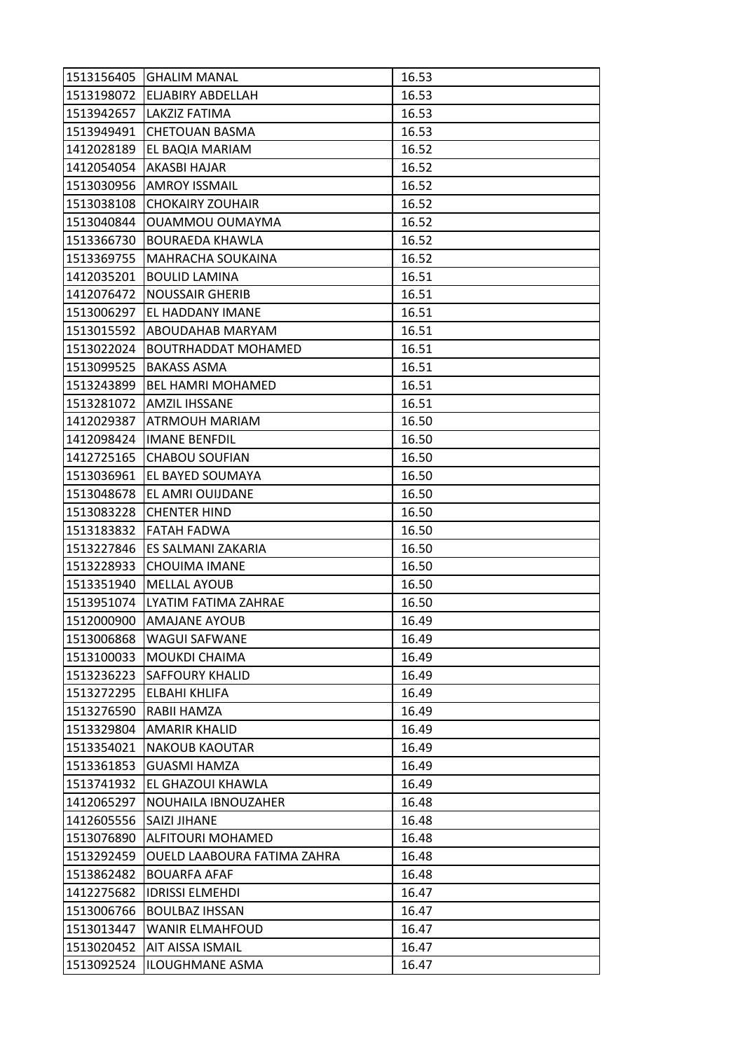|            | 1513156405 GHALIM MANAL      | 16.53 |
|------------|------------------------------|-------|
|            | 1513198072 ELJABIRY ABDELLAH | 16.53 |
|            | 1513942657   LAKZIZ FATIMA   | 16.53 |
|            | 1513949491 CHETOUAN BASMA    | 16.53 |
| 1412028189 | <b>EL BAQIA MARIAM</b>       | 16.52 |
| 1412054054 | <b>AKASBI HAJAR</b>          | 16.52 |
| 1513030956 | <b>AMROY ISSMAIL</b>         | 16.52 |
| 1513038108 | <b>CHOKAIRY ZOUHAIR</b>      | 16.52 |
| 1513040844 | <b>OUAMMOU OUMAYMA</b>       | 16.52 |
| 1513366730 | <b>BOURAEDA KHAWLA</b>       | 16.52 |
| 1513369755 | MAHRACHA SOUKAINA            | 16.52 |
| 1412035201 | <b>BOULID LAMINA</b>         | 16.51 |
| 1412076472 | <b>NOUSSAIR GHERIB</b>       | 16.51 |
| 1513006297 | <b>EL HADDANY IMANE</b>      | 16.51 |
| 1513015592 | <b>ABOUDAHAB MARYAM</b>      | 16.51 |
| 1513022024 | <b>BOUTRHADDAT MOHAMED</b>   | 16.51 |
| 1513099525 | <b>BAKASS ASMA</b>           | 16.51 |
| 1513243899 | <b>BEL HAMRI MOHAMED</b>     | 16.51 |
| 1513281072 | <b>AMZIL IHSSANE</b>         | 16.51 |
| 1412029387 | <b>ATRMOUH MARIAM</b>        | 16.50 |
|            | 1412098424  IMANE BENFDIL    | 16.50 |
| 1412725165 | <b>CHABOU SOUFIAN</b>        | 16.50 |
| 1513036961 | EL BAYED SOUMAYA             | 16.50 |
| 1513048678 | <b>EL AMRI OUIJDANE</b>      | 16.50 |
| 1513083228 | <b>CHENTER HIND</b>          | 16.50 |
| 1513183832 | <b>FATAH FADWA</b>           | 16.50 |
| 1513227846 | ES SALMANI ZAKARIA           | 16.50 |
| 1513228933 | <b>CHOUIMA IMANE</b>         | 16.50 |
| 1513351940 | <b>MELLAL AYOUB</b>          | 16.50 |
| 1513951074 | LYATIM FATIMA ZAHRAE         | 16.50 |
| 1512000900 | <b>AMAJANE AYOUB</b>         | 16.49 |
| 1513006868 | <b>WAGUI SAFWANE</b>         | 16.49 |
| 1513100033 | <b>MOUKDI CHAIMA</b>         | 16.49 |
| 1513236223 | <b>SAFFOURY KHALID</b>       | 16.49 |
| 1513272295 | <b>ELBAHI KHLIFA</b>         | 16.49 |
| 1513276590 | RABII HAMZA                  | 16.49 |
| 1513329804 | <b>AMARIR KHALID</b>         | 16.49 |
| 1513354021 | <b>NAKOUB KAOUTAR</b>        | 16.49 |
| 1513361853 | <b>GUASMI HAMZA</b>          | 16.49 |
| 1513741932 | EL GHAZOUI KHAWLA            | 16.49 |
| 1412065297 | NOUHAILA IBNOUZAHER          | 16.48 |
| 1412605556 | SAIZI JIHANE                 | 16.48 |
| 1513076890 | <b>ALFITOURI MOHAMED</b>     | 16.48 |
| 1513292459 | OUELD LAABOURA FATIMA ZAHRA  | 16.48 |
| 1513862482 | <b>BOUARFA AFAF</b>          | 16.48 |
| 1412275682 | <b>IDRISSI ELMEHDI</b>       | 16.47 |
| 1513006766 | <b>BOULBAZ IHSSAN</b>        | 16.47 |
| 1513013447 | <b>WANIR ELMAHFOUD</b>       | 16.47 |
| 1513020452 | AIT AISSA ISMAIL             | 16.47 |
| 1513092524 | <b>ILOUGHMANE ASMA</b>       | 16.47 |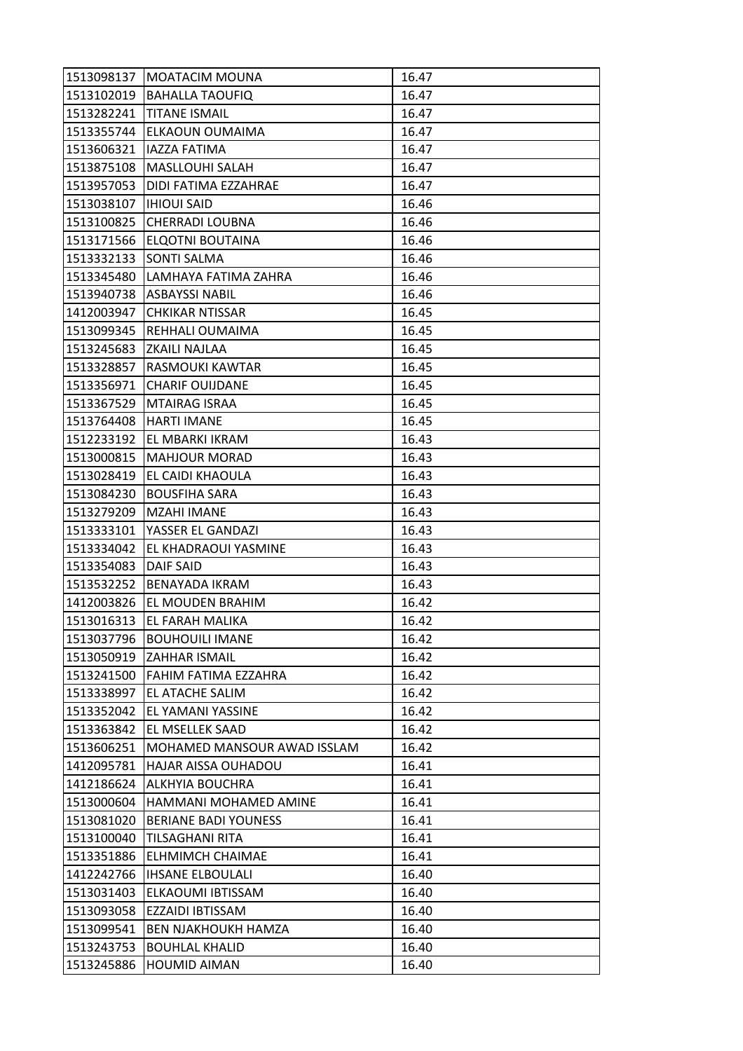|            | 1513098137   MOATACIM MOUNA        | 16.47 |
|------------|------------------------------------|-------|
|            | 1513102019 BAHALLA TAOUFIQ         | 16.47 |
| 1513282241 | <b>TITANE ISMAIL</b>               | 16.47 |
| 1513355744 | <b>ELKAOUN OUMAIMA</b>             | 16.47 |
| 1513606321 | <b>IAZZA FATIMA</b>                | 16.47 |
|            | 1513875108   MASLLOUHI SALAH       | 16.47 |
| 1513957053 | <b>DIDI FATIMA EZZAHRAE</b>        | 16.47 |
| 1513038107 | <b>IHIOUI SAID</b>                 | 16.46 |
| 1513100825 | <b>CHERRADI LOUBNA</b>             | 16.46 |
| 1513171566 | <b>ELQOTNI BOUTAINA</b>            | 16.46 |
| 1513332133 | <b>SONTI SALMA</b>                 | 16.46 |
| 1513345480 | LAMHAYA FATIMA ZAHRA               | 16.46 |
| 1513940738 | <b>ASBAYSSI NABIL</b>              | 16.46 |
| 1412003947 | <b>CHKIKAR NTISSAR</b>             | 16.45 |
| 1513099345 | REHHALI OUMAIMA                    | 16.45 |
|            | 1513245683 ZKAILI NAJLAA           | 16.45 |
| 1513328857 | <b>RASMOUKI KAWTAR</b>             | 16.45 |
| 1513356971 | <b>CHARIF OUIJDANE</b>             | 16.45 |
| 1513367529 | <b>MTAIRAG ISRAA</b>               | 16.45 |
| 1513764408 | <b>HARTI IMANE</b>                 | 16.45 |
|            | 1512233192 EL MBARKI IKRAM         | 16.43 |
| 1513000815 | <b>MAHJOUR MORAD</b>               | 16.43 |
| 1513028419 | <b>EL CAIDI KHAOULA</b>            | 16.43 |
| 1513084230 | BOUSFIHA SARA                      | 16.43 |
| 1513279209 | MZAHI IMANE                        | 16.43 |
| 1513333101 | YASSER EL GANDAZI                  | 16.43 |
| 1513334042 | EL KHADRAOUI YASMINE               | 16.43 |
| 1513354083 | <b>DAIF SAID</b>                   | 16.43 |
| 1513532252 | <b>BENAYADA IKRAM</b>              | 16.43 |
| 1412003826 | EL MOUDEN BRAHIM                   | 16.42 |
| 1513016313 | <b>EL FARAH MALIKA</b>             | 16.42 |
| 1513037796 | <b>BOUHOUILI IMANE</b>             | 16.42 |
| 1513050919 | <b>ZAHHAR ISMAIL</b>               | 16.42 |
| 1513241500 | FAHIM FATIMA EZZAHRA               | 16.42 |
| 1513338997 | EL ATACHE SALIM                    | 16.42 |
| 1513352042 | <b>EL YAMANI YASSINE</b>           | 16.42 |
| 1513363842 | EL MSELLEK SAAD                    | 16.42 |
| 1513606251 | <b>MOHAMED MANSOUR AWAD ISSLAM</b> | 16.42 |
| 1412095781 | HAJAR AISSA OUHADOU                | 16.41 |
| 1412186624 | <b>ALKHYIA BOUCHRA</b>             | 16.41 |
| 1513000604 | HAMMANI MOHAMED AMINE              | 16.41 |
| 1513081020 | BERIANE BADI YOUNESS               | 16.41 |
| 1513100040 | <b>TILSAGHANI RITA</b>             | 16.41 |
| 1513351886 | <b>ELHMIMCH CHAIMAE</b>            | 16.41 |
| 1412242766 | <b>IHSANE ELBOULALI</b>            | 16.40 |
| 1513031403 | ELKAOUMI IBTISSAM                  | 16.40 |
| 1513093058 | <b>EZZAIDI IBTISSAM</b>            | 16.40 |
| 1513099541 | <b>BEN NJAKHOUKH HAMZA</b>         | 16.40 |
| 1513243753 | <b>BOUHLAL KHALID</b>              | 16.40 |
| 1513245886 | HOUMID AIMAN                       | 16.40 |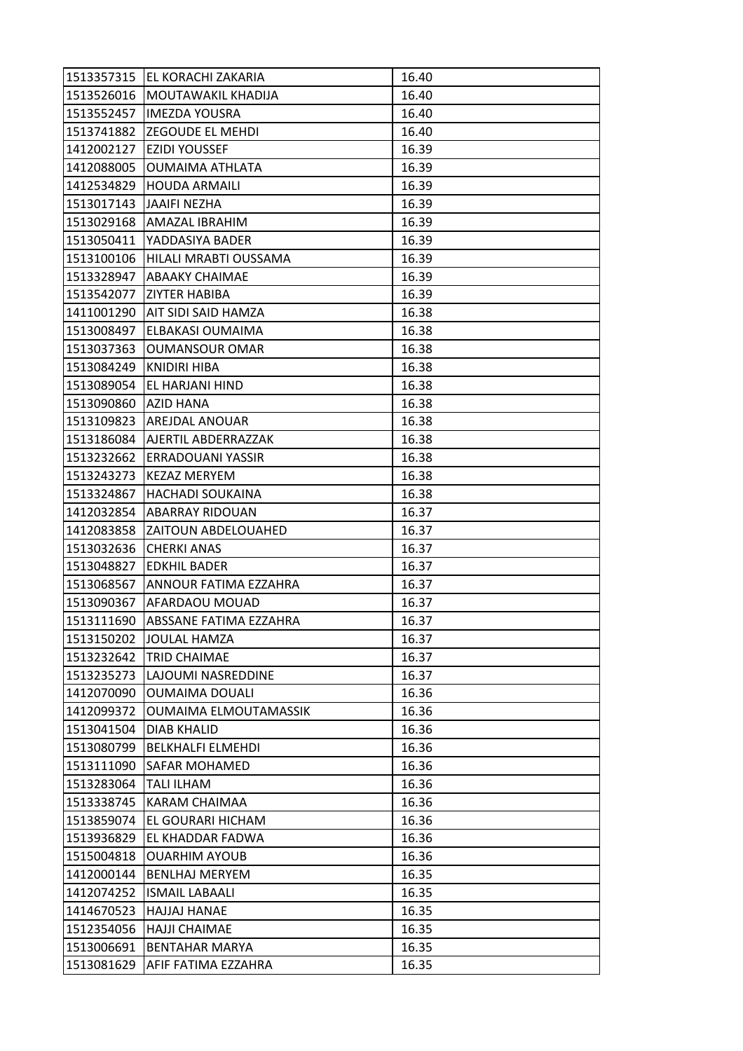| 1513357315 | IEL KORACHI ZAKARIA              | 16.40 |
|------------|----------------------------------|-------|
|            | 1513526016   MOUTAWAKIL KHADIJA  | 16.40 |
| 1513552457 | <b>IMEZDA YOUSRA</b>             | 16.40 |
| 1513741882 | <b>ZEGOUDE EL MEHDI</b>          | 16.40 |
| 1412002127 | <b>EZIDI YOUSSEF</b>             | 16.39 |
| 1412088005 | <b>OUMAIMA ATHLATA</b>           | 16.39 |
| 1412534829 | <b>HOUDA ARMAILI</b>             | 16.39 |
| 1513017143 | JAAIFI NEZHA                     | 16.39 |
| 1513029168 | <b>AMAZAL IBRAHIM</b>            | 16.39 |
| 1513050411 | IYADDASIYA BADER                 | 16.39 |
|            | 1513100106 HILALI MRABTI OUSSAMA | 16.39 |
| 1513328947 | <b>ABAAKY CHAIMAE</b>            | 16.39 |
| 1513542077 | <b>ZIYTER HABIBA</b>             | 16.39 |
|            | 1411001290   AIT SIDI SAID HAMZA | 16.38 |
| 1513008497 | <b>ELBAKASI OUMAIMA</b>          | 16.38 |
| 1513037363 | <b>OUMANSOUR OMAR</b>            | 16.38 |
| 1513084249 | KNIDIRI HIBA                     | 16.38 |
| 1513089054 | EL HARJANI HIND                  | 16.38 |
| 1513090860 | <b>AZID HANA</b>                 | 16.38 |
| 1513109823 | <b>AREJDAL ANOUAR</b>            | 16.38 |
|            | 1513186084 AJERTIL ABDERRAZZAK   | 16.38 |
| 1513232662 | <b>ERRADOUANI YASSIR</b>         | 16.38 |
| 1513243273 | <b>KEZAZ MERYEM</b>              | 16.38 |
| 1513324867 | <b>HACHADI SOUKAINA</b>          | 16.38 |
| 1412032854 | <b>ABARRAY RIDOUAN</b>           | 16.37 |
| 1412083858 | <b>ZAITOUN ABDELOUAHED</b>       | 16.37 |
| 1513032636 | <b>CHERKI ANAS</b>               | 16.37 |
| 1513048827 | <b>EDKHIL BADER</b>              | 16.37 |
| 1513068567 | ANNOUR FATIMA EZZAHRA            | 16.37 |
| 1513090367 | AFARDAOU MOUAD                   | 16.37 |
| 1513111690 | IABSSANE FATIMA EZZAHRA          | 16.37 |
| 1513150202 | JOULAL HAMZA                     | 16.37 |
| 1513232642 | <b>TRID CHAIMAE</b>              | 16.37 |
| 1513235273 | LAJOUMI NASREDDINE               | 16.37 |
| 1412070090 | <b>OUMAIMA DOUALI</b>            | 16.36 |
| 1412099372 | OUMAIMA ELMOUTAMASSIK            | 16.36 |
| 1513041504 | <b>DIAB KHALID</b>               | 16.36 |
| 1513080799 | <b>BELKHALFI ELMEHDI</b>         | 16.36 |
| 1513111090 | <b>SAFAR MOHAMED</b>             | 16.36 |
| 1513283064 | <b>TALI ILHAM</b>                | 16.36 |
| 1513338745 | KARAM CHAIMAA                    | 16.36 |
| 1513859074 | EL GOURARI HICHAM                | 16.36 |
| 1513936829 | EL KHADDAR FADWA                 | 16.36 |
| 1515004818 | <b>OUARHIM AYOUB</b>             | 16.36 |
| 1412000144 | <b>BENLHAJ MERYEM</b>            | 16.35 |
| 1412074252 | <b>ISMAIL LABAALI</b>            | 16.35 |
| 1414670523 | <b>HAJJAJ HANAE</b>              | 16.35 |
| 1512354056 | <b>HAJJI CHAIMAE</b>             | 16.35 |
| 1513006691 | <b>BENTAHAR MARYA</b>            | 16.35 |
| 1513081629 | AFIF FATIMA EZZAHRA              | 16.35 |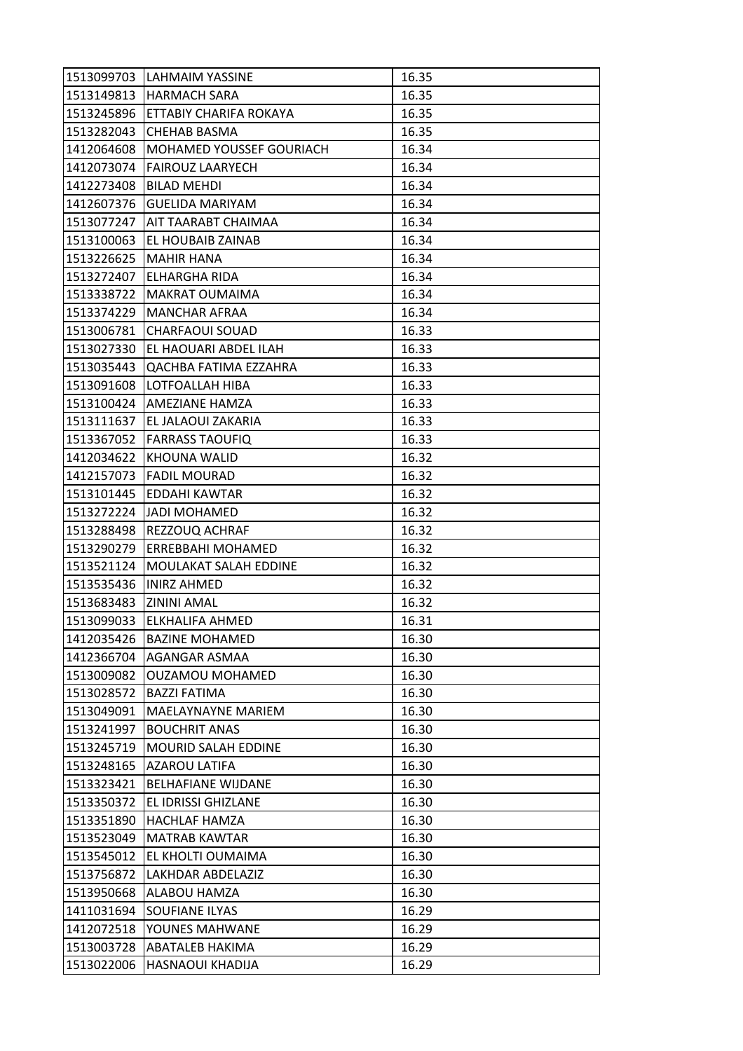|            | 1513099703 LAHMAIM YASSINE         | 16.35 |
|------------|------------------------------------|-------|
|            | 1513149813 HARMACH SARA            | 16.35 |
|            | 1513245896  ETTABIY CHARIFA ROKAYA | 16.35 |
| 1513282043 | <b>CHEHAB BASMA</b>                | 16.35 |
| 1412064608 | MOHAMED YOUSSEF GOURIACH           | 16.34 |
|            | 1412073074   FAIROUZ LAARYECH      | 16.34 |
| 1412273408 | <b>BILAD MEHDI</b>                 | 16.34 |
| 1412607376 | <b>GUELIDA MARIYAM</b>             | 16.34 |
| 1513077247 | <b>AIT TAARABT CHAIMAA</b>         | 16.34 |
| 1513100063 | <b>EL HOUBAIB ZAINAB</b>           | 16.34 |
| 1513226625 | MAHIR HANA                         | 16.34 |
| 1513272407 | <b>ELHARGHA RIDA</b>               | 16.34 |
| 1513338722 | <b>MAKRAT OUMAIMA</b>              | 16.34 |
| 1513374229 | <b>MANCHAR AFRAA</b>               | 16.34 |
| 1513006781 | <b>CHARFAOUI SOUAD</b>             | 16.33 |
| 1513027330 | <b>EL HAOUARI ABDEL ILAH</b>       | 16.33 |
| 1513035443 | QACHBA FATIMA EZZAHRA              | 16.33 |
| 1513091608 | LOTFOALLAH HIBA                    | 16.33 |
| 1513100424 | <b>AMEZIANE HAMZA</b>              | 16.33 |
| 1513111637 | <b>EL JALAOUI ZAKARIA</b>          | 16.33 |
|            | 1513367052 FARRASS TAOUFIQ         | 16.33 |
| 1412034622 | KHOUNA WALID                       | 16.32 |
| 1412157073 | <b>FADIL MOURAD</b>                | 16.32 |
| 1513101445 | <b>EDDAHI KAWTAR</b>               | 16.32 |
|            | 1513272224 JJADI MOHAMED           | 16.32 |
|            | 1513288498 REZZOUQ ACHRAF          | 16.32 |
| 1513290279 | <b>ERREBBAHI MOHAMED</b>           | 16.32 |
| 1513521124 | MOULAKAT SALAH EDDINE              | 16.32 |
| 1513535436 | <b>INIRZ AHMED</b>                 | 16.32 |
| 1513683483 | <b>ZININI AMAL</b>                 | 16.32 |
| 1513099033 | <b>IELKHALIFA AHMED</b>            | 16.31 |
| 1412035426 | <b>BAZINE MOHAMED</b>              | 16.30 |
| 1412366704 | <b>AGANGAR ASMAA</b>               | 16.30 |
| 1513009082 | <b>OUZAMOU MOHAMED</b>             | 16.30 |
| 1513028572 | <b>BAZZI FATIMA</b>                | 16.30 |
| 1513049091 | <b>MAELAYNAYNE MARIEM</b>          | 16.30 |
| 1513241997 | <b>BOUCHRIT ANAS</b>               | 16.30 |
| 1513245719 | <b>MOURID SALAH EDDINE</b>         | 16.30 |
| 1513248165 | <b>AZAROU LATIFA</b>               | 16.30 |
| 1513323421 | <b>BELHAFIANE WIJDANE</b>          | 16.30 |
| 1513350372 | EL IDRISSI GHIZLANE                | 16.30 |
| 1513351890 | <b>HACHLAF HAMZA</b>               | 16.30 |
| 1513523049 | MATRAB KAWTAR                      | 16.30 |
| 1513545012 | EL KHOLTI OUMAIMA                  | 16.30 |
| 1513756872 | <b>LAKHDAR ABDELAZIZ</b>           | 16.30 |
| 1513950668 | ALABOU HAMZA                       | 16.30 |
| 1411031694 | <b>SOUFIANE ILYAS</b>              | 16.29 |
| 1412072518 | YOUNES MAHWANE                     | 16.29 |
| 1513003728 | <b>ABATALEB HAKIMA</b>             | 16.29 |
|            | HASNAOUI KHADIJA                   | 16.29 |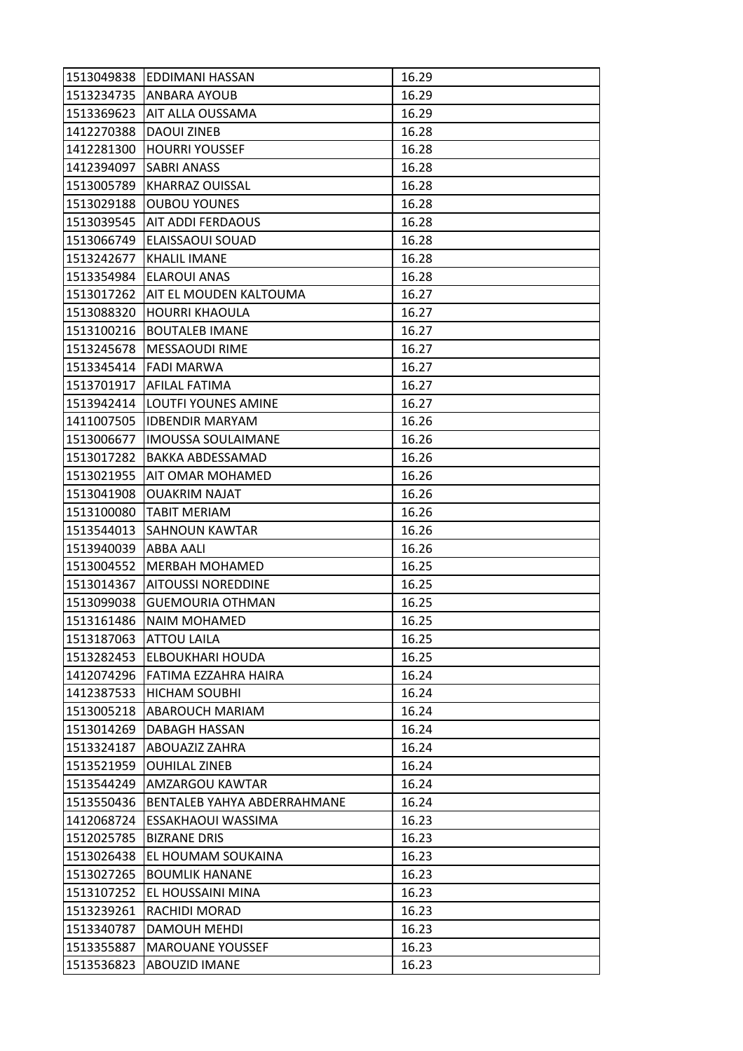| 1513049838 | <b>EDDIMANI HASSAN</b>      | 16.29 |
|------------|-----------------------------|-------|
|            | 1513234735 ANBARA AYOUB     | 16.29 |
| 1513369623 | <b>AIT ALLA OUSSAMA</b>     | 16.29 |
| 1412270388 | <b>DAOUI ZINEB</b>          | 16.28 |
| 1412281300 | HOURRI YOUSSEF              | 16.28 |
| 1412394097 | <b>SABRI ANASS</b>          | 16.28 |
| 1513005789 | <b>KHARRAZ OUISSAL</b>      | 16.28 |
| 1513029188 | <b>OUBOU YOUNES</b>         | 16.28 |
| 1513039545 | <b>AIT ADDI FERDAOUS</b>    | 16.28 |
| 1513066749 | <b>ELAISSAOUI SOUAD</b>     | 16.28 |
| 1513242677 | <b>KHALIL IMANE</b>         | 16.28 |
| 1513354984 | <b>ELAROUI ANAS</b>         | 16.28 |
| 1513017262 | AIT EL MOUDEN KALTOUMA      | 16.27 |
| 1513088320 | <b>HOURRI KHAOULA</b>       | 16.27 |
| 1513100216 | <b>BOUTALEB IMANE</b>       | 16.27 |
|            | 1513245678   MESSAOUDI RIME | 16.27 |
| 1513345414 | <b>FADI MARWA</b>           | 16.27 |
| 1513701917 | <b>AFILAL FATIMA</b>        | 16.27 |
| 1513942414 | <b>LOUTFI YOUNES AMINE</b>  | 16.27 |
| 1411007505 | <b>IDBENDIR MARYAM</b>      | 16.26 |
| 1513006677 | <b>IMOUSSA SOULAIMANE</b>   | 16.26 |
| 1513017282 | BAKKA ABDESSAMAD            | 16.26 |
| 1513021955 | <b>AIT OMAR MOHAMED</b>     | 16.26 |
| 1513041908 | <b>OUAKRIM NAJAT</b>        | 16.26 |
| 1513100080 | <b>TABIT MERIAM</b>         | 16.26 |
| 1513544013 | <b>SAHNOUN KAWTAR</b>       | 16.26 |
| 1513940039 | ABBA AALI                   | 16.26 |
| 1513004552 | <b>MERBAH MOHAMED</b>       | 16.25 |
| 1513014367 | <b>AITOUSSI NOREDDINE</b>   | 16.25 |
| 1513099038 | <b>GUEMOURIA OTHMAN</b>     | 16.25 |
| 1513161486 | <b>NAIM MOHAMED</b>         | 16.25 |
| 1513187063 | <b>ATTOU LAILA</b>          | 16.25 |
| 1513282453 | <b>ELBOUKHARI HOUDA</b>     | 16.25 |
| 1412074296 | <b>FATIMA EZZAHRA HAIRA</b> | 16.24 |
| 1412387533 | <b>HICHAM SOUBHI</b>        |       |
| 1513005218 |                             | 16.24 |
|            | <b>ABAROUCH MARIAM</b>      | 16.24 |
| 1513014269 | DABAGH HASSAN               | 16.24 |
| 1513324187 | ABOUAZIZ ZAHRA              | 16.24 |
| 1513521959 | <b>OUHILAL ZINEB</b>        | 16.24 |
| 1513544249 | <b>AMZARGOU KAWTAR</b>      | 16.24 |
| 1513550436 | BENTALEB YAHYA ABDERRAHMANE | 16.24 |
| 1412068724 | ESSAKHAOUI WASSIMA          | 16.23 |
| 1512025785 | <b>BIZRANE DRIS</b>         | 16.23 |
| 1513026438 | EL HOUMAM SOUKAINA          | 16.23 |
| 1513027265 | <b>BOUMLIK HANANE</b>       | 16.23 |
| 1513107252 | EL HOUSSAINI MINA           | 16.23 |
| 1513239261 | RACHIDI MORAD               | 16.23 |
| 1513340787 | DAMOUH MEHDI                | 16.23 |
| 1513355887 | <b>MAROUANE YOUSSEF</b>     | 16.23 |
| 1513536823 | <b>ABOUZID IMANE</b>        | 16.23 |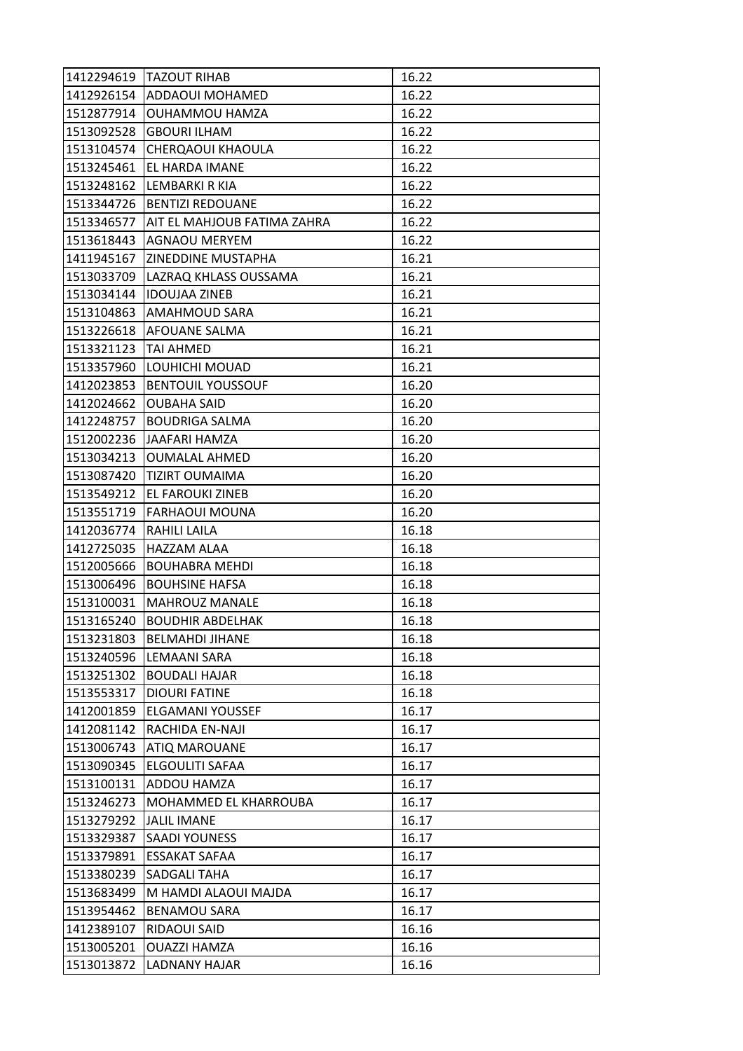|            | 1412294619   TAZOUT RIHAB          | 16.22 |
|------------|------------------------------------|-------|
|            | 1412926154 ADDAOUI MOHAMED         | 16.22 |
| 1512877914 | <b>OUHAMMOU HAMZA</b>              | 16.22 |
| 1513092528 | <b>GBOURI ILHAM</b>                | 16.22 |
| 1513104574 | CHERQAOUI KHAOULA                  | 16.22 |
|            | 1513245461   EL HARDA IMANE        | 16.22 |
| 1513248162 | LEMBARKI R KIA                     | 16.22 |
| 1513344726 | <b>BENTIZI REDOUANE</b>            | 16.22 |
| 1513346577 | <b>AIT EL MAHJOUB FATIMA ZAHRA</b> | 16.22 |
| 1513618443 | <b>AGNAOU MERYEM</b>               | 16.22 |
| 1411945167 | <b>ZINEDDINE MUSTAPHA</b>          | 16.21 |
| 1513033709 | LAZRAQ KHLASS OUSSAMA              | 16.21 |
| 1513034144 | <b>IDOUJAA ZINEB</b>               | 16.21 |
| 1513104863 | <b>AMAHMOUD SARA</b>               | 16.21 |
| 1513226618 | <b>AFOUANE SALMA</b>               | 16.21 |
| 1513321123 | <b>TAI AHMED</b>                   | 16.21 |
| 1513357960 | LOUHICHI MOUAD                     | 16.21 |
| 1412023853 | <b>BENTOUIL YOUSSOUF</b>           | 16.20 |
| 1412024662 | <b>OUBAHA SAID</b>                 | 16.20 |
| 1412248757 | <b>BOUDRIGA SALMA</b>              | 16.20 |
|            | 1512002236   JAAFARI HAMZA         | 16.20 |
| 1513034213 | <b>OUMALAL AHMED</b>               | 16.20 |
| 1513087420 | <b>TIZIRT OUMAIMA</b>              | 16.20 |
| 1513549212 | <b>EL FAROUKI ZINEB</b>            | 16.20 |
| 1513551719 | <b>FARHAOUI MOUNA</b>              | 16.20 |
| 1412036774 | <b>RAHILI LAILA</b>                | 16.18 |
| 1412725035 | <b>HAZZAM ALAA</b>                 | 16.18 |
| 1512005666 | <b>BOUHABRA MEHDI</b>              | 16.18 |
| 1513006496 | <b>BOUHSINE HAFSA</b>              | 16.18 |
| 1513100031 | <b>MAHROUZ MANALE</b>              | 16.18 |
| 1513165240 | <b>BOUDHIR ABDELHAK</b>            | 16.18 |
| 1513231803 | <b>BELMAHDI JIHANE</b>             | 16.18 |
| 1513240596 | <b>LEMAANI SARA</b>                | 16.18 |
| 1513251302 | <b>BOUDALI HAJAR</b>               | 16.18 |
| 1513553317 | <b>DIOURI FATINE</b>               | 16.18 |
| 1412001859 | <b>ELGAMANI YOUSSEF</b>            | 16.17 |
| 1412081142 | RACHIDA EN-NAJI                    | 16.17 |
| 1513006743 | <b>ATIQ MAROUANE</b>               | 16.17 |
| 1513090345 | ELGOULITI SAFAA                    | 16.17 |
| 1513100131 | <b>ADDOU HAMZA</b>                 | 16.17 |
| 1513246273 | MOHAMMED EL KHARROUBA              | 16.17 |
| 1513279292 | <b>JALIL IMANE</b>                 | 16.17 |
| 1513329387 | <b>SAADI YOUNESS</b>               | 16.17 |
| 1513379891 | <b>ESSAKAT SAFAA</b>               | 16.17 |
| 1513380239 | <b>SADGALI TAHA</b>                | 16.17 |
| 1513683499 | M HAMDI ALAOUI MAJDA               | 16.17 |
| 1513954462 | <b>BENAMOU SARA</b>                | 16.17 |
| 1412389107 | RIDAOUI SAID                       | 16.16 |
| 1513005201 | <b>OUAZZI HAMZA</b>                | 16.16 |
| 1513013872 | LADNANY HAJAR                      | 16.16 |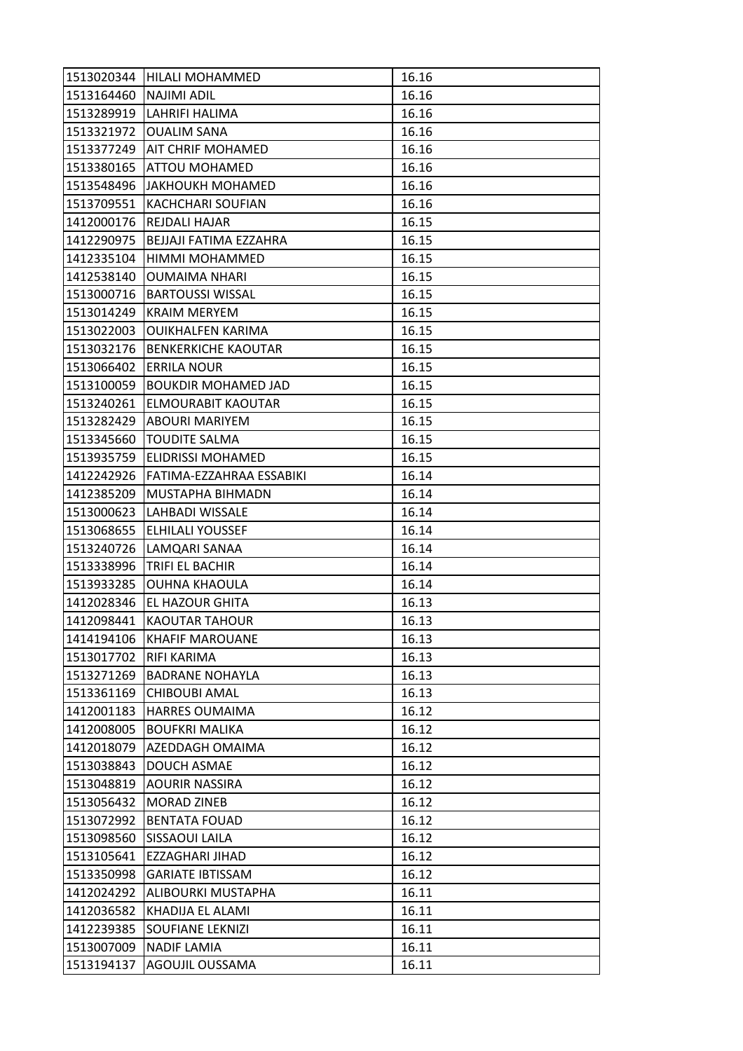|                        | 1513020344 HILALI MOHAMMED       | 16.16 |
|------------------------|----------------------------------|-------|
| 1513164460 NAJIMI ADIL |                                  | 16.16 |
|                        | 1513289919 LAHRIFI HALIMA        | 16.16 |
| 1513321972             | <b>OUALIM SANA</b>               | 16.16 |
| 1513377249             | <b>AIT CHRIF MOHAMED</b>         | 16.16 |
|                        | 1513380165 ATTOU MOHAMED         | 16.16 |
|                        | 1513548496 JAKHOUKH MOHAMED      | 16.16 |
| 1513709551             | <b>KACHCHARI SOUFIAN</b>         | 16.16 |
| 1412000176             | <b>REJDALI HAJAR</b>             | 16.15 |
| 1412290975             | BEJJAJI FATIMA EZZAHRA           | 16.15 |
|                        | 1412335104  HIMMI MOHAMMED       | 16.15 |
| 1412538140             | <b>OUMAIMA NHARI</b>             | 16.15 |
| 1513000716             | <b>BARTOUSSI WISSAL</b>          | 16.15 |
| 1513014249             | <b>KRAIM MERYEM</b>              | 16.15 |
| 1513022003             | <b>OUIKHALFEN KARIMA</b>         | 16.15 |
|                        | 1513032176   BENKERKICHE KAOUTAR | 16.15 |
| 1513066402             | <b>ERRILA NOUR</b>               | 16.15 |
| 1513100059             | <b>BOUKDIR MOHAMED JAD</b>       | 16.15 |
| 1513240261             | <b>ELMOURABIT KAOUTAR</b>        | 16.15 |
| 1513282429             | <b>ABOURI MARIYEM</b>            | 16.15 |
|                        | 1513345660   TOUDITE SALMA       | 16.15 |
| 1513935759             | <b>ELIDRISSI MOHAMED</b>         | 16.15 |
| 1412242926             | <b>FATIMA-EZZAHRAA ESSABIKI</b>  | 16.14 |
| 1412385209             | <b>MUSTAPHA BIHMADN</b>          | 16.14 |
|                        | 1513000623 LAHBADI WISSALE       | 16.14 |
| 1513068655             | <b>ELHILALI YOUSSEF</b>          | 16.14 |
| 1513240726             | LAMQARI SANAA                    | 16.14 |
| 1513338996             | <b>TRIFI EL BACHIR</b>           | 16.14 |
| 1513933285             | OUHNA KHAOULA                    | 16.14 |
| 1412028346             | <b>EL HAZOUR GHITA</b>           | 16.13 |
| 1412098441             | <b>KAOUTAR TAHOUR</b>            | 16.13 |
| 1414194106             | <b>KHAFIF MAROUANE</b>           | 16.13 |
| 1513017702             | <b>RIFI KARIMA</b>               | 16.13 |
| 1513271269             | <b>BADRANE NOHAYLA</b>           | 16.13 |
| 1513361169             | <b>CHIBOUBI AMAL</b>             | 16.13 |
| 1412001183             | <b>HARRES OUMAIMA</b>            | 16.12 |
| 1412008005             | <b>BOUFKRI MALIKA</b>            | 16.12 |
| 1412018079             | AZEDDAGH OMAIMA                  | 16.12 |
| 1513038843             | DOUCH ASMAE                      | 16.12 |
| 1513048819             | <b>AOURIR NASSIRA</b>            | 16.12 |
| 1513056432             | <b>MORAD ZINEB</b>               | 16.12 |
| 1513072992             | <b>BENTATA FOUAD</b>             | 16.12 |
| 1513098560             | SISSAOUI LAILA                   | 16.12 |
| 1513105641             | <b>EZZAGHARI JIHAD</b>           | 16.12 |
| 1513350998             | <b>GARIATE IBTISSAM</b>          | 16.12 |
| 1412024292             | ALIBOURKI MUSTAPHA               | 16.11 |
| 1412036582             | KHADIJA EL ALAMI                 | 16.11 |
| 1412239385             | <b>SOUFIANE LEKNIZI</b>          | 16.11 |
| 1513007009             | <b>NADIF LAMIA</b>               | 16.11 |
| 1513194137             | AGOUJIL OUSSAMA                  | 16.11 |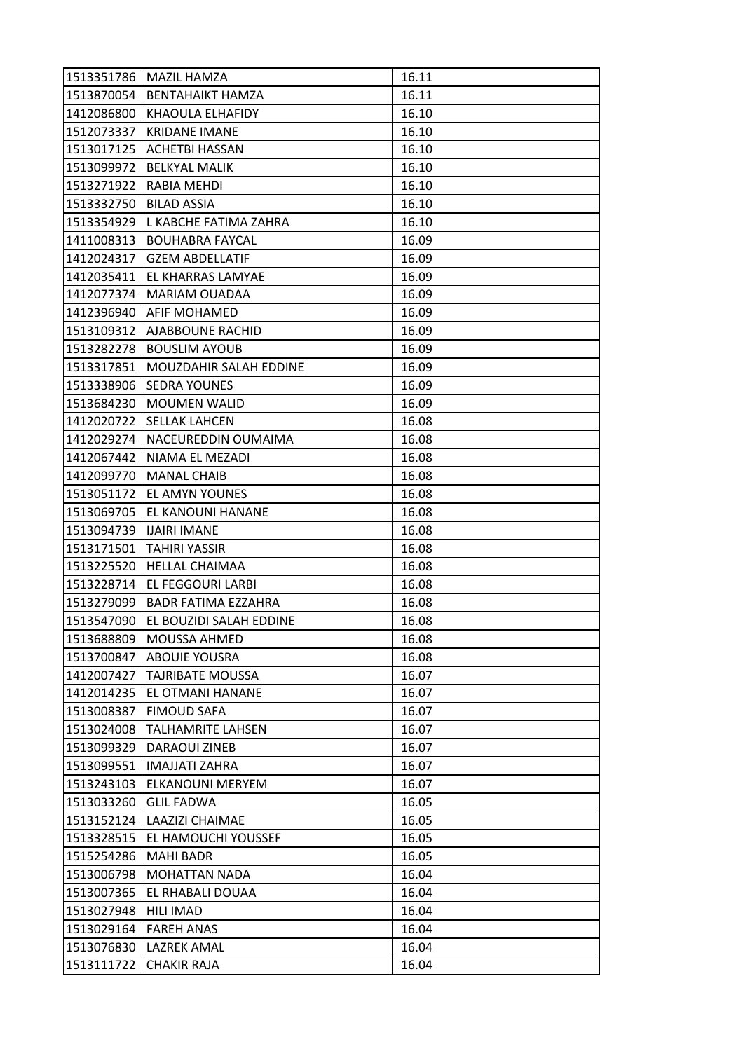|            | 1513351786   MAZIL HAMZA         | 16.11 |
|------------|----------------------------------|-------|
|            | 1513870054 BENTAHAIKT HAMZA      | 16.11 |
| 1412086800 | KHAOULA ELHAFIDY                 | 16.10 |
| 1512073337 | <b>KRIDANE IMANE</b>             | 16.10 |
| 1513017125 | <b>ACHETBI HASSAN</b>            | 16.10 |
|            | 1513099972   BELKYAL MALIK       | 16.10 |
| 1513271922 | <b>RABIA MEHDI</b>               | 16.10 |
| 1513332750 | <b>BILAD ASSIA</b>               | 16.10 |
| 1513354929 | L KABCHE FATIMA ZAHRA            | 16.10 |
| 1411008313 | <b>BOUHABRA FAYCAL</b>           | 16.09 |
| 1412024317 | <b>GZEM ABDELLATIF</b>           | 16.09 |
| 1412035411 | <b>EL KHARRAS LAMYAE</b>         | 16.09 |
| 1412077374 | <b>MARIAM OUADAA</b>             | 16.09 |
| 1412396940 | <b>AFIF MOHAMED</b>              | 16.09 |
| 1513109312 | <b>AJABBOUNE RACHID</b>          | 16.09 |
| 1513282278 | <b>BOUSLIM AYOUB</b>             | 16.09 |
| 1513317851 | <b>MOUZDAHIR SALAH EDDINE</b>    | 16.09 |
| 1513338906 | <b>SEDRA YOUNES</b>              | 16.09 |
| 1513684230 | <b>MOUMEN WALID</b>              | 16.09 |
| 1412020722 | <b>SELLAK LAHCEN</b>             | 16.08 |
|            | 1412029274   NACEUREDDIN OUMAIMA | 16.08 |
| 1412067442 | NIAMA EL MEZADI                  | 16.08 |
| 1412099770 | MANAL CHAIB                      | 16.08 |
| 1513051172 | <b>IEL AMYN YOUNES</b>           | 16.08 |
|            | 1513069705 EL KANOUNI HANANE     | 16.08 |
| 1513094739 | <b>IJAIRI IMANE</b>              | 16.08 |
| 1513171501 | <b>TAHIRI YASSIR</b>             | 16.08 |
| 1513225520 | <b>HELLAL CHAIMAA</b>            | 16.08 |
| 1513228714 | <b>EL FEGGOURI LARBI</b>         | 16.08 |
| 1513279099 | <b>BADR FATIMA EZZAHRA</b>       | 16.08 |
| 1513547090 | <b>EL BOUZIDI SALAH EDDINE</b>   | 16.08 |
| 1513688809 | MOUSSA AHMED                     | 16.08 |
| 1513700847 | <b>ABOUIE YOUSRA</b>             | 16.08 |
| 1412007427 | TAJRIBATE MOUSSA                 | 16.07 |
| 1412014235 | EL OTMANI HANANE                 | 16.07 |
| 1513008387 | <b>FIMOUD SAFA</b>               | 16.07 |
| 1513024008 | <b>TALHAMRITE LAHSEN</b>         | 16.07 |
| 1513099329 | <b>DARAOUI ZINEB</b>             | 16.07 |
| 1513099551 | <b>IMAJJATI ZAHRA</b>            | 16.07 |
| 1513243103 | <b>ELKANOUNI MERYEM</b>          | 16.07 |
| 1513033260 | <b>GLIL FADWA</b>                | 16.05 |
| 1513152124 | LAAZIZI CHAIMAE                  | 16.05 |
| 1513328515 | <b>EL HAMOUCHI YOUSSEF</b>       | 16.05 |
| 1515254286 | <b>MAHI BADR</b>                 | 16.05 |
| 1513006798 | <b>MOHATTAN NADA</b>             | 16.04 |
| 1513007365 | EL RHABALI DOUAA                 | 16.04 |
| 1513027948 | <b>HILI IMAD</b>                 | 16.04 |
| 1513029164 | <b>FAREH ANAS</b>                | 16.04 |
| 1513076830 | <b>LAZREK AMAL</b>               | 16.04 |
| 1513111722 | CHAKIR RAJA                      | 16.04 |